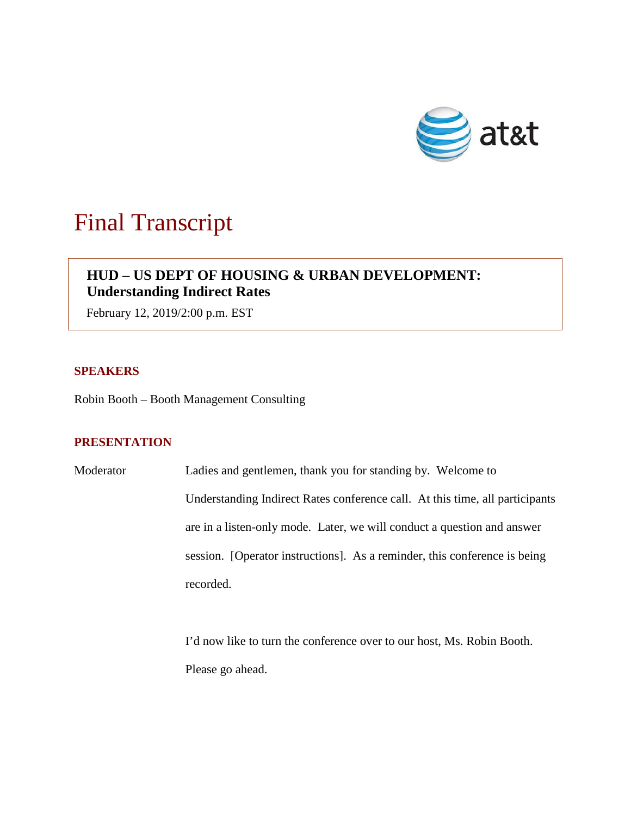

# Final Transcript

# **HUD – US DEPT OF HOUSING & URBAN DEVELOPMENT: Understanding Indirect Rates**

February 12, 2019/2:00 p.m. EST

## **SPEAKERS**

Robin Booth – Booth Management Consulting

### **PRESENTATION**

Moderator Ladies and gentlemen, thank you for standing by. Welcome to Understanding Indirect Rates conference call. At this time, all participants are in a listen-only mode. Later, we will conduct a question and answer session. [Operator instructions]. As a reminder, this conference is being recorded.

> I'd now like to turn the conference over to our host, Ms. Robin Booth. Please go ahead.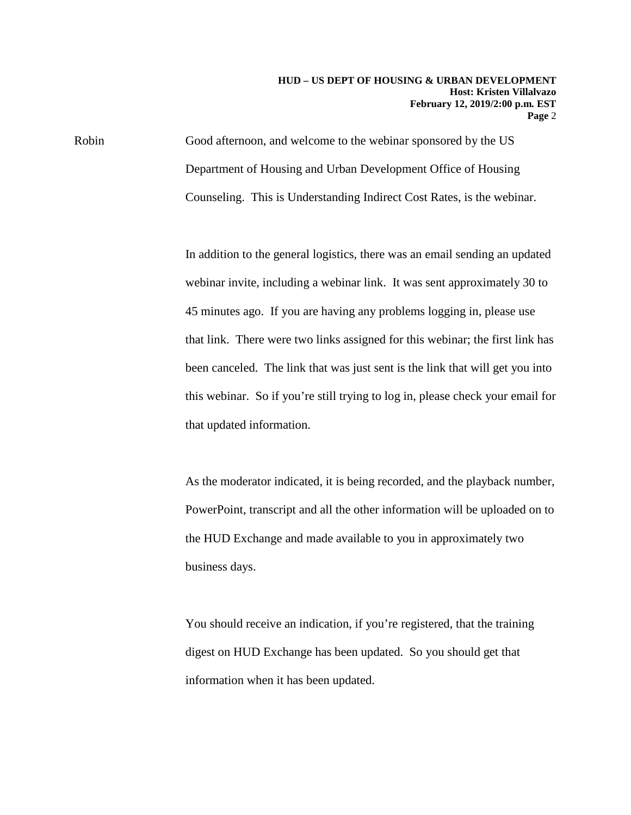Robin Good afternoon, and welcome to the webinar sponsored by the US Department of Housing and Urban Development Office of Housing Counseling. This is Understanding Indirect Cost Rates, is the webinar.

> In addition to the general logistics, there was an email sending an updated webinar invite, including a webinar link. It was sent approximately 30 to 45 minutes ago. If you are having any problems logging in, please use that link. There were two links assigned for this webinar; the first link has been canceled. The link that was just sent is the link that will get you into this webinar. So if you're still trying to log in, please check your email for that updated information.

> As the moderator indicated, it is being recorded, and the playback number, PowerPoint, transcript and all the other information will be uploaded on to the HUD Exchange and made available to you in approximately two business days.

You should receive an indication, if you're registered, that the training digest on HUD Exchange has been updated. So you should get that information when it has been updated.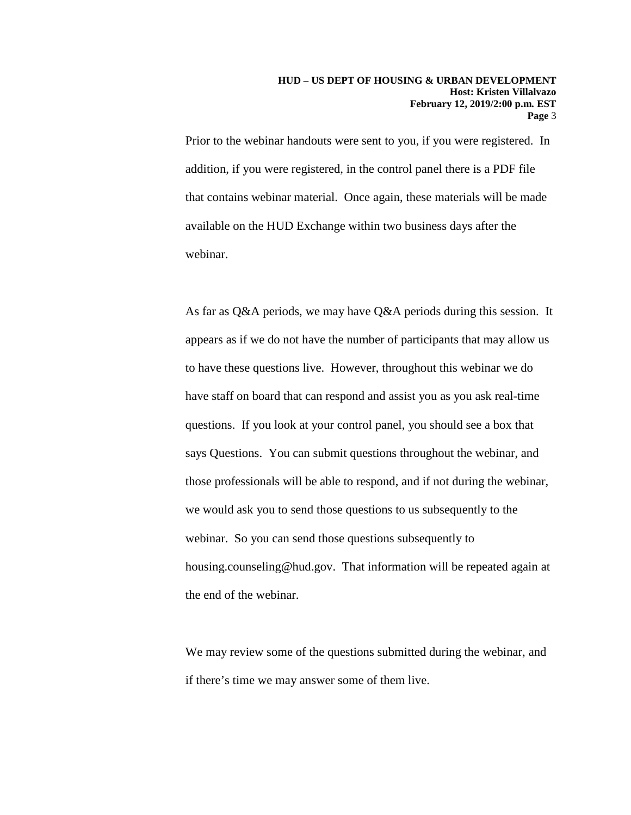Prior to the webinar handouts were sent to you, if you were registered. In addition, if you were registered, in the control panel there is a PDF file that contains webinar material. Once again, these materials will be made available on the HUD Exchange within two business days after the webinar.

As far as Q&A periods, we may have Q&A periods during this session. It appears as if we do not have the number of participants that may allow us to have these questions live. However, throughout this webinar we do have staff on board that can respond and assist you as you ask real-time questions. If you look at your control panel, you should see a box that says Questions. You can submit questions throughout the webinar, and those professionals will be able to respond, and if not during the webinar, we would ask you to send those questions to us subsequently to the webinar. So you can send those questions subsequently to housing.counseling@hud.gov. That information will be repeated again at the end of the webinar.

We may review some of the questions submitted during the webinar, and if there's time we may answer some of them live.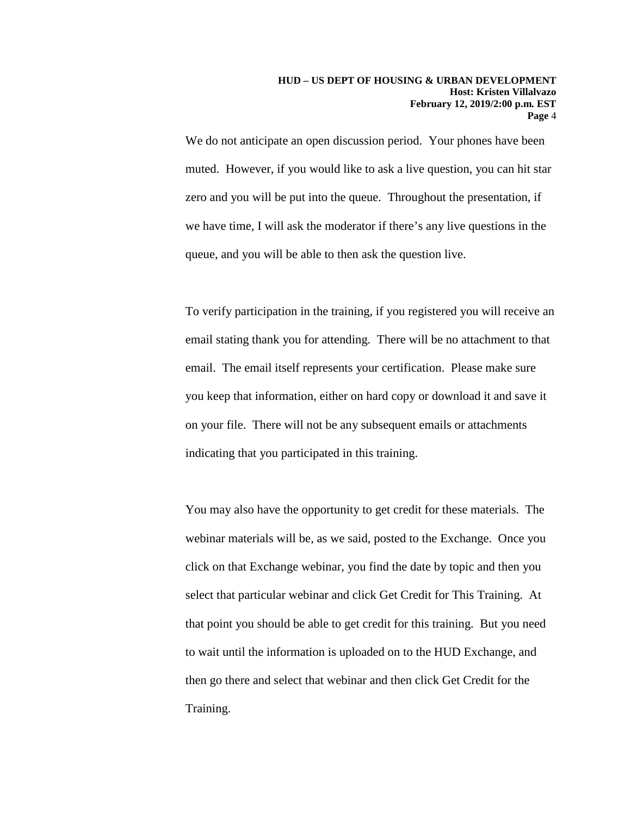We do not anticipate an open discussion period. Your phones have been muted. However, if you would like to ask a live question, you can hit star zero and you will be put into the queue. Throughout the presentation, if we have time, I will ask the moderator if there's any live questions in the queue, and you will be able to then ask the question live.

To verify participation in the training, if you registered you will receive an email stating thank you for attending. There will be no attachment to that email. The email itself represents your certification. Please make sure you keep that information, either on hard copy or download it and save it on your file. There will not be any subsequent emails or attachments indicating that you participated in this training.

You may also have the opportunity to get credit for these materials. The webinar materials will be, as we said, posted to the Exchange. Once you click on that Exchange webinar, you find the date by topic and then you select that particular webinar and click Get Credit for This Training. At that point you should be able to get credit for this training. But you need to wait until the information is uploaded on to the HUD Exchange, and then go there and select that webinar and then click Get Credit for the Training.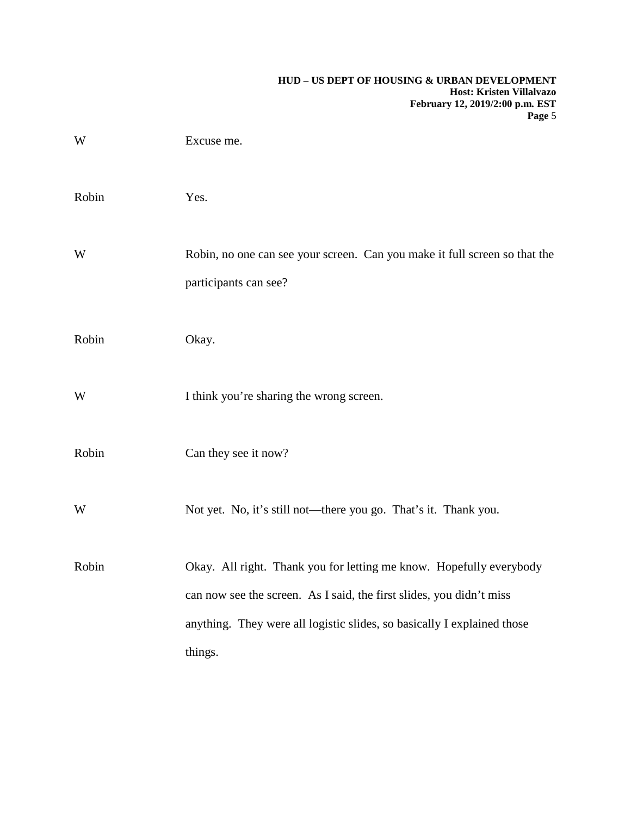| Excuse me.                                                                                                                                                                                                                        |
|-----------------------------------------------------------------------------------------------------------------------------------------------------------------------------------------------------------------------------------|
| Yes.                                                                                                                                                                                                                              |
| Robin, no one can see your screen. Can you make it full screen so that the<br>participants can see?                                                                                                                               |
| Okay.                                                                                                                                                                                                                             |
| I think you're sharing the wrong screen.                                                                                                                                                                                          |
| Can they see it now?                                                                                                                                                                                                              |
| Not yet. No, it's still not—there you go. That's it. Thank you.                                                                                                                                                                   |
| Okay. All right. Thank you for letting me know. Hopefully everybody<br>can now see the screen. As I said, the first slides, you didn't miss<br>anything. They were all logistic slides, so basically I explained those<br>things. |
|                                                                                                                                                                                                                                   |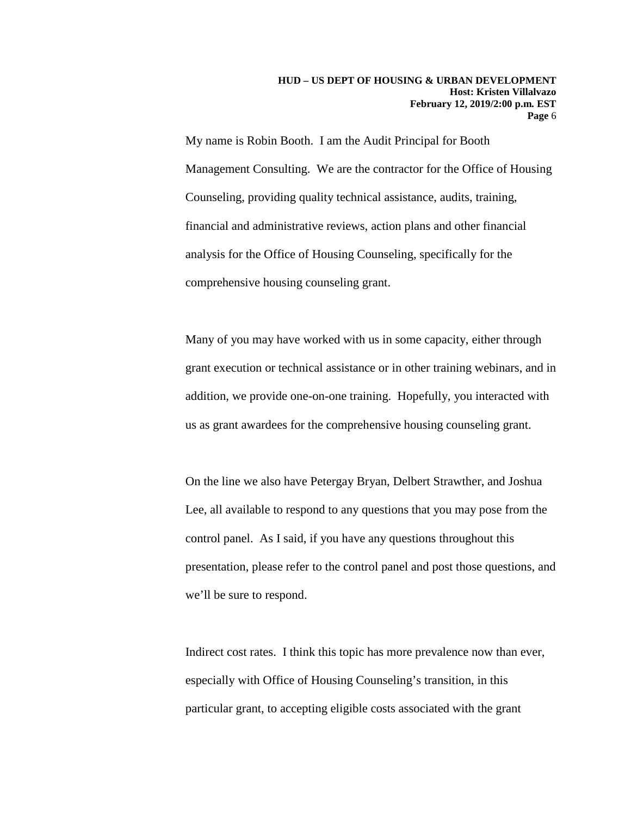My name is Robin Booth. I am the Audit Principal for Booth Management Consulting. We are the contractor for the Office of Housing Counseling, providing quality technical assistance, audits, training, financial and administrative reviews, action plans and other financial analysis for the Office of Housing Counseling, specifically for the comprehensive housing counseling grant.

Many of you may have worked with us in some capacity, either through grant execution or technical assistance or in other training webinars, and in addition, we provide one-on-one training. Hopefully, you interacted with us as grant awardees for the comprehensive housing counseling grant.

On the line we also have Petergay Bryan, Delbert Strawther, and Joshua Lee, all available to respond to any questions that you may pose from the control panel. As I said, if you have any questions throughout this presentation, please refer to the control panel and post those questions, and we'll be sure to respond.

Indirect cost rates. I think this topic has more prevalence now than ever, especially with Office of Housing Counseling's transition, in this particular grant, to accepting eligible costs associated with the grant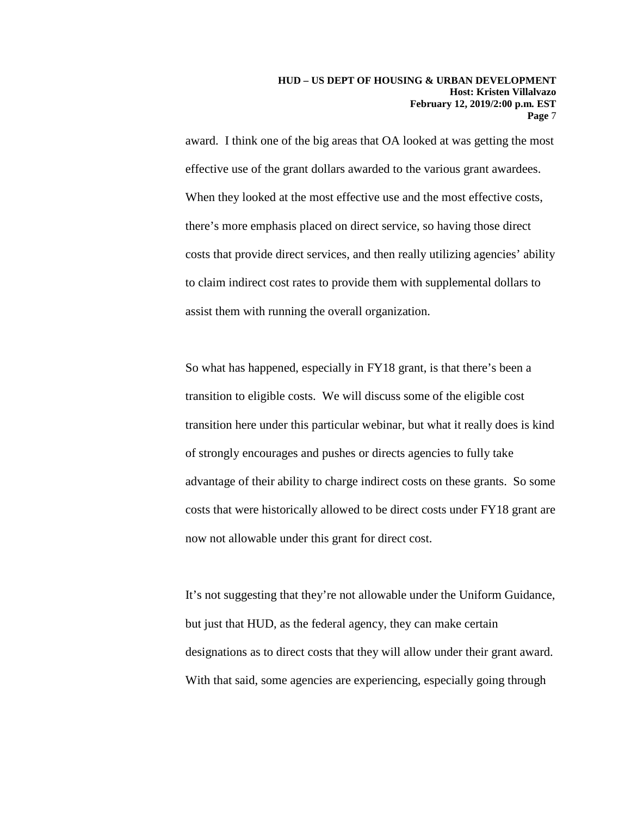award. I think one of the big areas that OA looked at was getting the most effective use of the grant dollars awarded to the various grant awardees. When they looked at the most effective use and the most effective costs, there's more emphasis placed on direct service, so having those direct costs that provide direct services, and then really utilizing agencies' ability to claim indirect cost rates to provide them with supplemental dollars to assist them with running the overall organization.

So what has happened, especially in FY18 grant, is that there's been a transition to eligible costs. We will discuss some of the eligible cost transition here under this particular webinar, but what it really does is kind of strongly encourages and pushes or directs agencies to fully take advantage of their ability to charge indirect costs on these grants. So some costs that were historically allowed to be direct costs under FY18 grant are now not allowable under this grant for direct cost.

It's not suggesting that they're not allowable under the Uniform Guidance, but just that HUD, as the federal agency, they can make certain designations as to direct costs that they will allow under their grant award. With that said, some agencies are experiencing, especially going through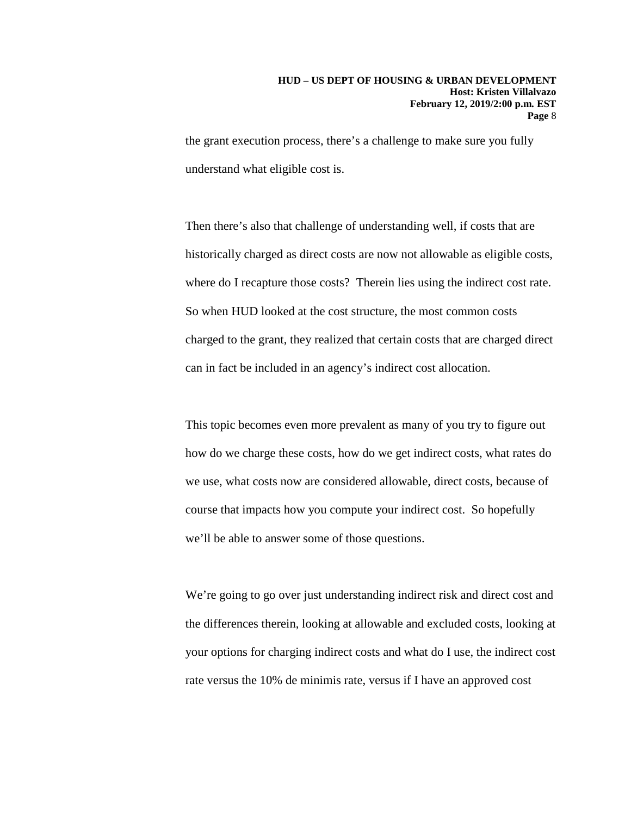the grant execution process, there's a challenge to make sure you fully understand what eligible cost is.

Then there's also that challenge of understanding well, if costs that are historically charged as direct costs are now not allowable as eligible costs, where do I recapture those costs? Therein lies using the indirect cost rate. So when HUD looked at the cost structure, the most common costs charged to the grant, they realized that certain costs that are charged direct can in fact be included in an agency's indirect cost allocation.

This topic becomes even more prevalent as many of you try to figure out how do we charge these costs, how do we get indirect costs, what rates do we use, what costs now are considered allowable, direct costs, because of course that impacts how you compute your indirect cost. So hopefully we'll be able to answer some of those questions.

We're going to go over just understanding indirect risk and direct cost and the differences therein, looking at allowable and excluded costs, looking at your options for charging indirect costs and what do I use, the indirect cost rate versus the 10% de minimis rate, versus if I have an approved cost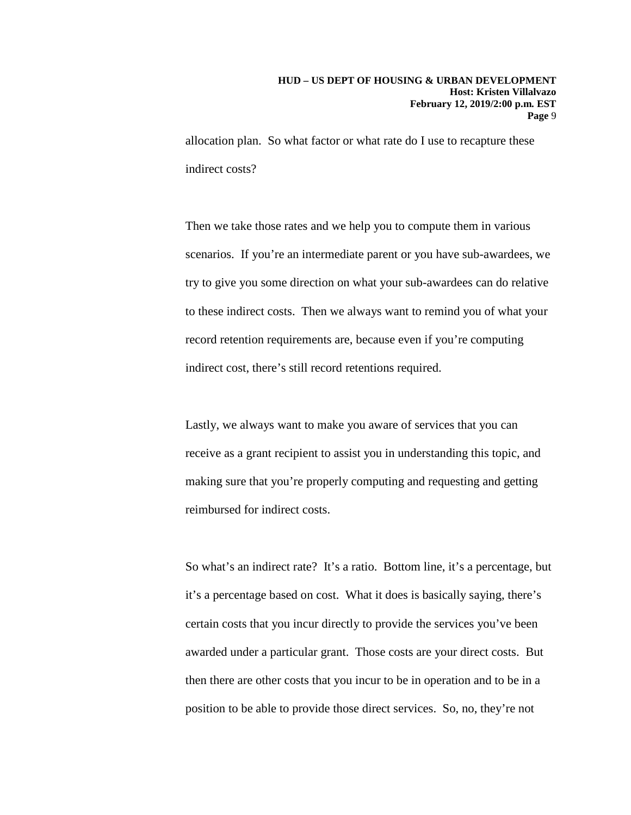allocation plan. So what factor or what rate do I use to recapture these indirect costs?

Then we take those rates and we help you to compute them in various scenarios. If you're an intermediate parent or you have sub-awardees, we try to give you some direction on what your sub-awardees can do relative to these indirect costs. Then we always want to remind you of what your record retention requirements are, because even if you're computing indirect cost, there's still record retentions required.

Lastly, we always want to make you aware of services that you can receive as a grant recipient to assist you in understanding this topic, and making sure that you're properly computing and requesting and getting reimbursed for indirect costs.

So what's an indirect rate? It's a ratio. Bottom line, it's a percentage, but it's a percentage based on cost. What it does is basically saying, there's certain costs that you incur directly to provide the services you've been awarded under a particular grant. Those costs are your direct costs. But then there are other costs that you incur to be in operation and to be in a position to be able to provide those direct services. So, no, they're not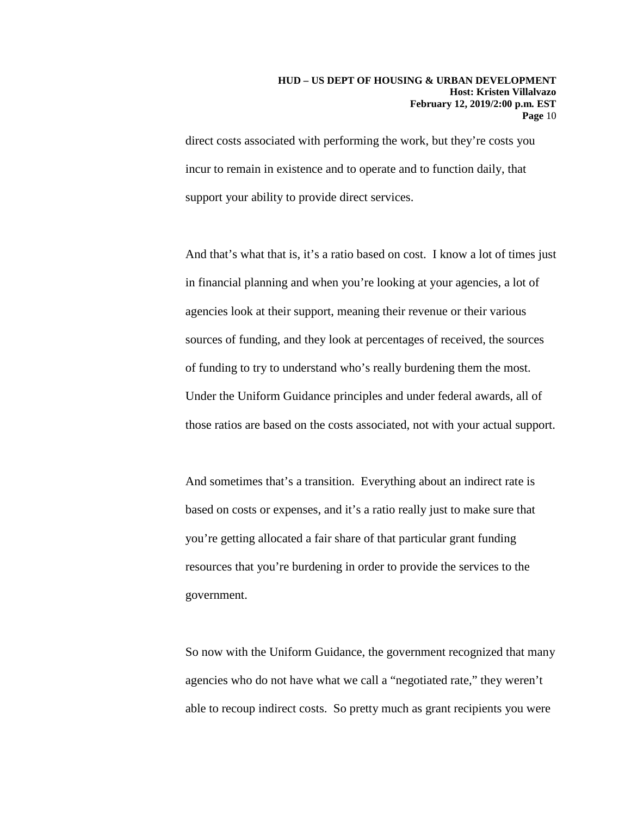direct costs associated with performing the work, but they're costs you incur to remain in existence and to operate and to function daily, that support your ability to provide direct services.

And that's what that is, it's a ratio based on cost. I know a lot of times just in financial planning and when you're looking at your agencies, a lot of agencies look at their support, meaning their revenue or their various sources of funding, and they look at percentages of received, the sources of funding to try to understand who's really burdening them the most. Under the Uniform Guidance principles and under federal awards, all of those ratios are based on the costs associated, not with your actual support.

And sometimes that's a transition. Everything about an indirect rate is based on costs or expenses, and it's a ratio really just to make sure that you're getting allocated a fair share of that particular grant funding resources that you're burdening in order to provide the services to the government.

So now with the Uniform Guidance, the government recognized that many agencies who do not have what we call a "negotiated rate," they weren't able to recoup indirect costs. So pretty much as grant recipients you were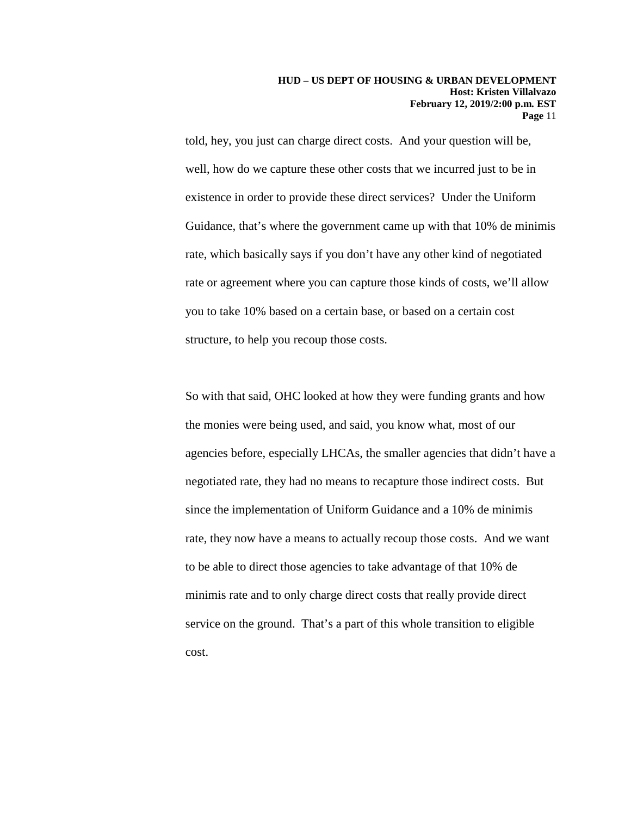told, hey, you just can charge direct costs. And your question will be, well, how do we capture these other costs that we incurred just to be in existence in order to provide these direct services? Under the Uniform Guidance, that's where the government came up with that 10% de minimis rate, which basically says if you don't have any other kind of negotiated rate or agreement where you can capture those kinds of costs, we'll allow you to take 10% based on a certain base, or based on a certain cost structure, to help you recoup those costs.

So with that said, OHC looked at how they were funding grants and how the monies were being used, and said, you know what, most of our agencies before, especially LHCAs, the smaller agencies that didn't have a negotiated rate, they had no means to recapture those indirect costs. But since the implementation of Uniform Guidance and a 10% de minimis rate, they now have a means to actually recoup those costs. And we want to be able to direct those agencies to take advantage of that 10% de minimis rate and to only charge direct costs that really provide direct service on the ground. That's a part of this whole transition to eligible cost.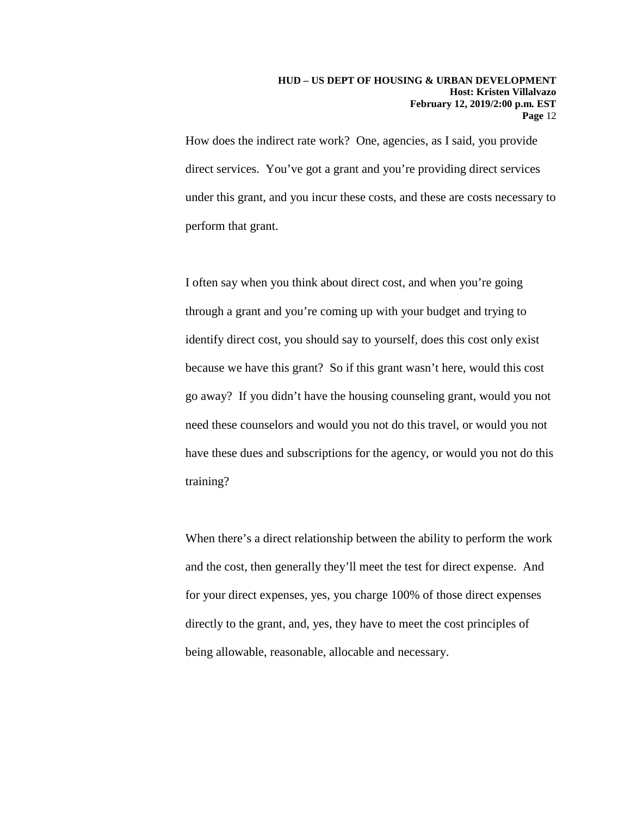How does the indirect rate work? One, agencies, as I said, you provide direct services. You've got a grant and you're providing direct services under this grant, and you incur these costs, and these are costs necessary to perform that grant.

I often say when you think about direct cost, and when you're going through a grant and you're coming up with your budget and trying to identify direct cost, you should say to yourself, does this cost only exist because we have this grant? So if this grant wasn't here, would this cost go away? If you didn't have the housing counseling grant, would you not need these counselors and would you not do this travel, or would you not have these dues and subscriptions for the agency, or would you not do this training?

When there's a direct relationship between the ability to perform the work and the cost, then generally they'll meet the test for direct expense. And for your direct expenses, yes, you charge 100% of those direct expenses directly to the grant, and, yes, they have to meet the cost principles of being allowable, reasonable, allocable and necessary.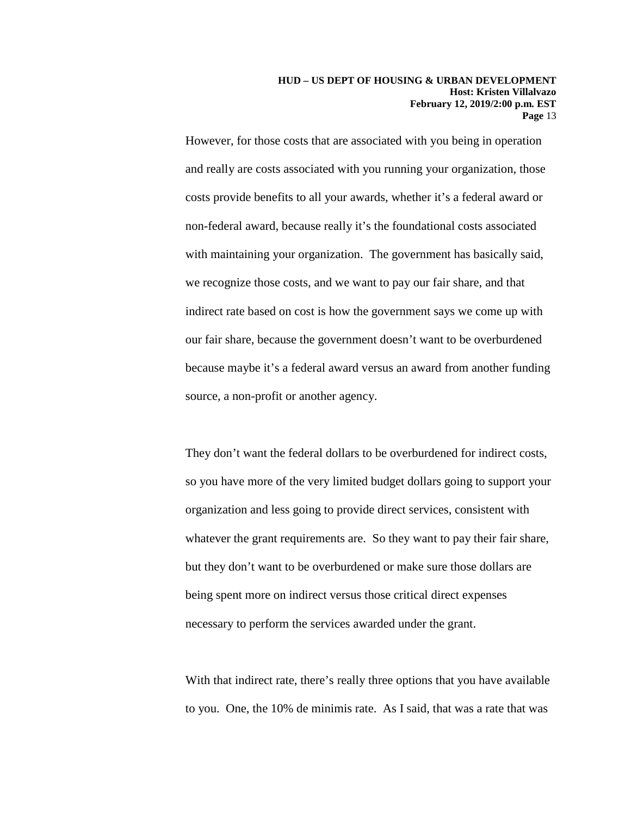However, for those costs that are associated with you being in operation and really are costs associated with you running your organization, those costs provide benefits to all your awards, whether it's a federal award or non-federal award, because really it's the foundational costs associated with maintaining your organization. The government has basically said, we recognize those costs, and we want to pay our fair share, and that indirect rate based on cost is how the government says we come up with our fair share, because the government doesn't want to be overburdened because maybe it's a federal award versus an award from another funding source, a non-profit or another agency.

They don't want the federal dollars to be overburdened for indirect costs, so you have more of the very limited budget dollars going to support your organization and less going to provide direct services, consistent with whatever the grant requirements are. So they want to pay their fair share, but they don't want to be overburdened or make sure those dollars are being spent more on indirect versus those critical direct expenses necessary to perform the services awarded under the grant.

With that indirect rate, there's really three options that you have available to you. One, the 10% de minimis rate. As I said, that was a rate that was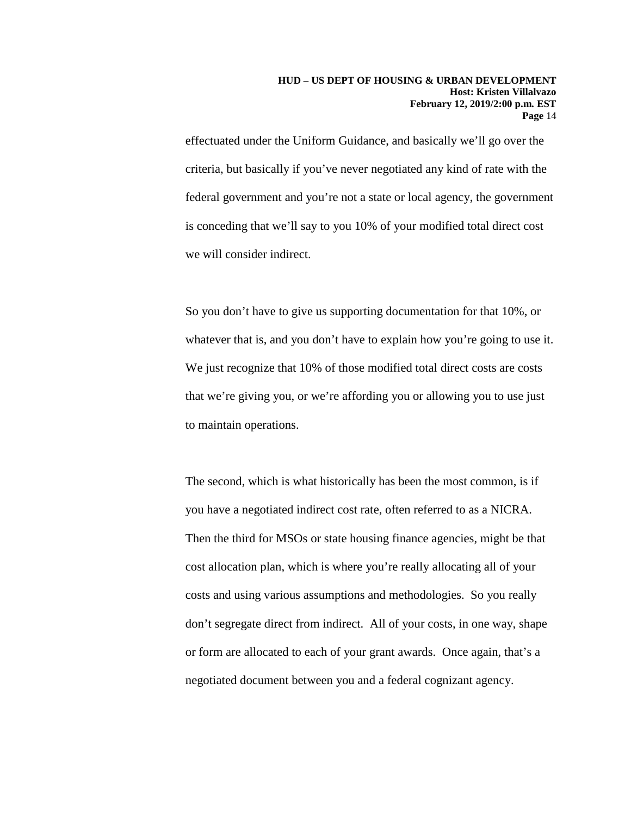effectuated under the Uniform Guidance, and basically we'll go over the criteria, but basically if you've never negotiated any kind of rate with the federal government and you're not a state or local agency, the government is conceding that we'll say to you 10% of your modified total direct cost we will consider indirect.

So you don't have to give us supporting documentation for that 10%, or whatever that is, and you don't have to explain how you're going to use it. We just recognize that 10% of those modified total direct costs are costs that we're giving you, or we're affording you or allowing you to use just to maintain operations.

The second, which is what historically has been the most common, is if you have a negotiated indirect cost rate, often referred to as a NICRA. Then the third for MSOs or state housing finance agencies, might be that cost allocation plan, which is where you're really allocating all of your costs and using various assumptions and methodologies. So you really don't segregate direct from indirect. All of your costs, in one way, shape or form are allocated to each of your grant awards. Once again, that's a negotiated document between you and a federal cognizant agency.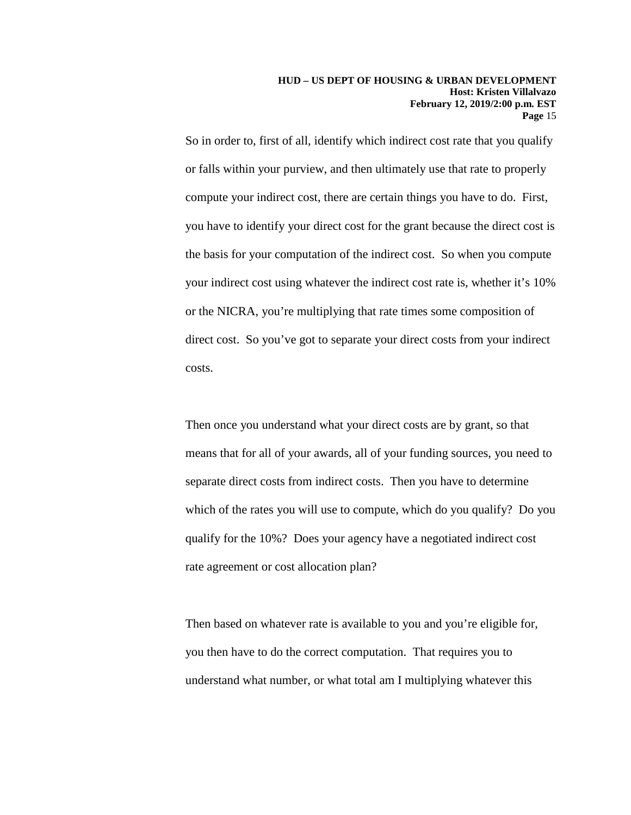So in order to, first of all, identify which indirect cost rate that you qualify or falls within your purview, and then ultimately use that rate to properly compute your indirect cost, there are certain things you have to do. First, you have to identify your direct cost for the grant because the direct cost is the basis for your computation of the indirect cost. So when you compute your indirect cost using whatever the indirect cost rate is, whether it's 10% or the NICRA, you're multiplying that rate times some composition of direct cost. So you've got to separate your direct costs from your indirect costs.

Then once you understand what your direct costs are by grant, so that means that for all of your awards, all of your funding sources, you need to separate direct costs from indirect costs. Then you have to determine which of the rates you will use to compute, which do you qualify? Do you qualify for the 10%? Does your agency have a negotiated indirect cost rate agreement or cost allocation plan?

Then based on whatever rate is available to you and you're eligible for, you then have to do the correct computation. That requires you to understand what number, or what total am I multiplying whatever this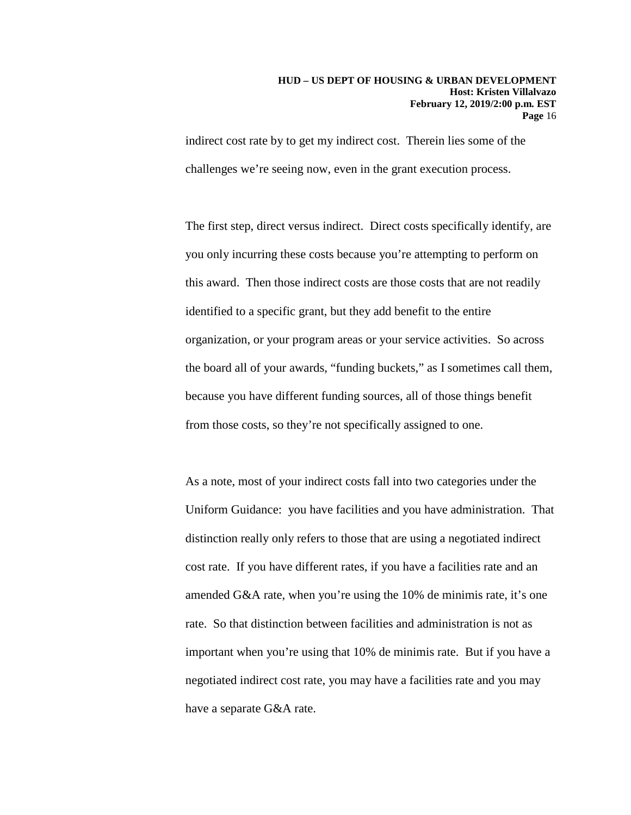indirect cost rate by to get my indirect cost. Therein lies some of the challenges we're seeing now, even in the grant execution process.

The first step, direct versus indirect. Direct costs specifically identify, are you only incurring these costs because you're attempting to perform on this award. Then those indirect costs are those costs that are not readily identified to a specific grant, but they add benefit to the entire organization, or your program areas or your service activities. So across the board all of your awards, "funding buckets," as I sometimes call them, because you have different funding sources, all of those things benefit from those costs, so they're not specifically assigned to one.

As a note, most of your indirect costs fall into two categories under the Uniform Guidance: you have facilities and you have administration. That distinction really only refers to those that are using a negotiated indirect cost rate. If you have different rates, if you have a facilities rate and an amended G&A rate, when you're using the 10% de minimis rate, it's one rate. So that distinction between facilities and administration is not as important when you're using that 10% de minimis rate. But if you have a negotiated indirect cost rate, you may have a facilities rate and you may have a separate G&A rate.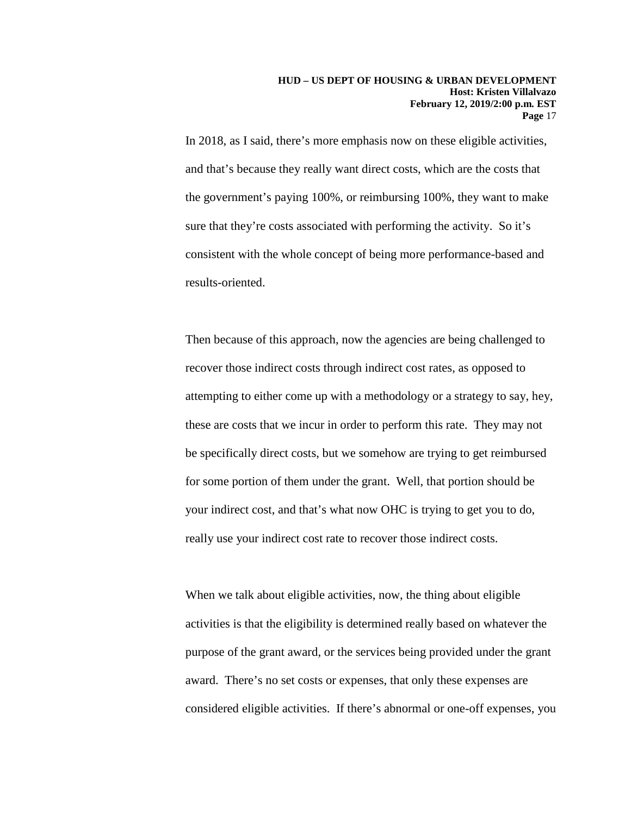In 2018, as I said, there's more emphasis now on these eligible activities, and that's because they really want direct costs, which are the costs that the government's paying 100%, or reimbursing 100%, they want to make sure that they're costs associated with performing the activity. So it's consistent with the whole concept of being more performance-based and results-oriented.

Then because of this approach, now the agencies are being challenged to recover those indirect costs through indirect cost rates, as opposed to attempting to either come up with a methodology or a strategy to say, hey, these are costs that we incur in order to perform this rate. They may not be specifically direct costs, but we somehow are trying to get reimbursed for some portion of them under the grant. Well, that portion should be your indirect cost, and that's what now OHC is trying to get you to do, really use your indirect cost rate to recover those indirect costs.

When we talk about eligible activities, now, the thing about eligible activities is that the eligibility is determined really based on whatever the purpose of the grant award, or the services being provided under the grant award. There's no set costs or expenses, that only these expenses are considered eligible activities. If there's abnormal or one-off expenses, you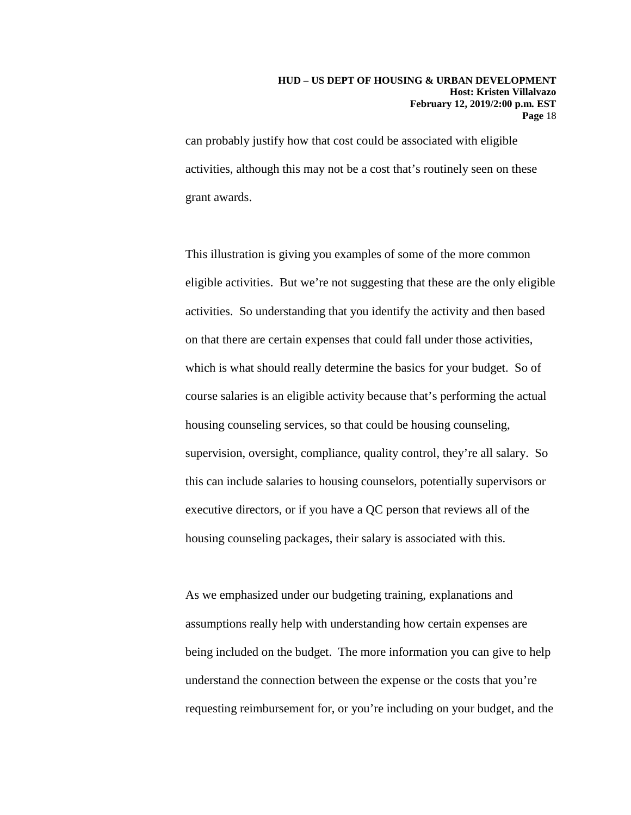can probably justify how that cost could be associated with eligible activities, although this may not be a cost that's routinely seen on these grant awards.

This illustration is giving you examples of some of the more common eligible activities. But we're not suggesting that these are the only eligible activities. So understanding that you identify the activity and then based on that there are certain expenses that could fall under those activities, which is what should really determine the basics for your budget. So of course salaries is an eligible activity because that's performing the actual housing counseling services, so that could be housing counseling, supervision, oversight, compliance, quality control, they're all salary. So this can include salaries to housing counselors, potentially supervisors or executive directors, or if you have a QC person that reviews all of the housing counseling packages, their salary is associated with this.

As we emphasized under our budgeting training, explanations and assumptions really help with understanding how certain expenses are being included on the budget. The more information you can give to help understand the connection between the expense or the costs that you're requesting reimbursement for, or you're including on your budget, and the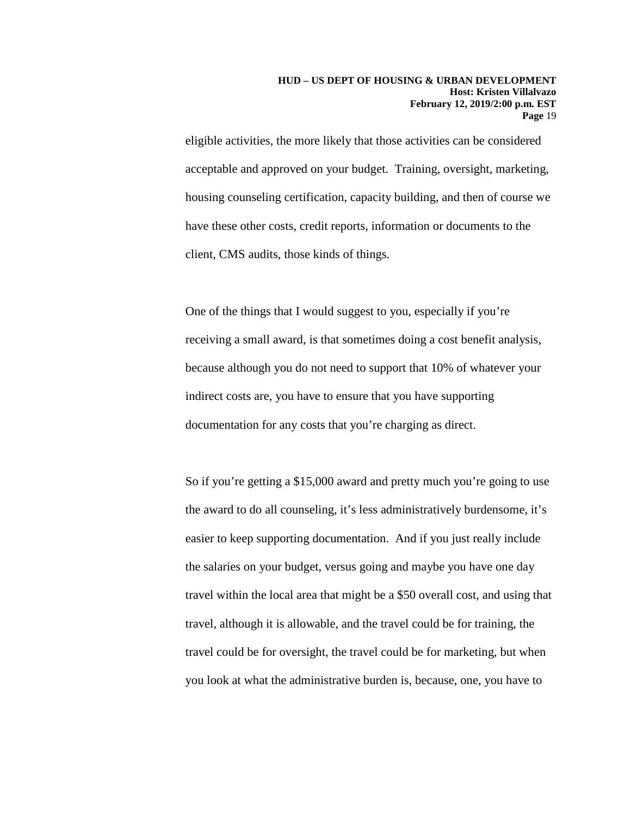eligible activities, the more likely that those activities can be considered acceptable and approved on your budget. Training, oversight, marketing, housing counseling certification, capacity building, and then of course we have these other costs, credit reports, information or documents to the client, CMS audits, those kinds of things.

One of the things that I would suggest to you, especially if you're receiving a small award, is that sometimes doing a cost benefit analysis, because although you do not need to support that 10% of whatever your indirect costs are, you have to ensure that you have supporting documentation for any costs that you're charging as direct.

So if you're getting a \$15,000 award and pretty much you're going to use the award to do all counseling, it's less administratively burdensome, it's easier to keep supporting documentation. And if you just really include the salaries on your budget, versus going and maybe you have one day travel within the local area that might be a \$50 overall cost, and using that travel, although it is allowable, and the travel could be for training, the travel could be for oversight, the travel could be for marketing, but when you look at what the administrative burden is, because, one, you have to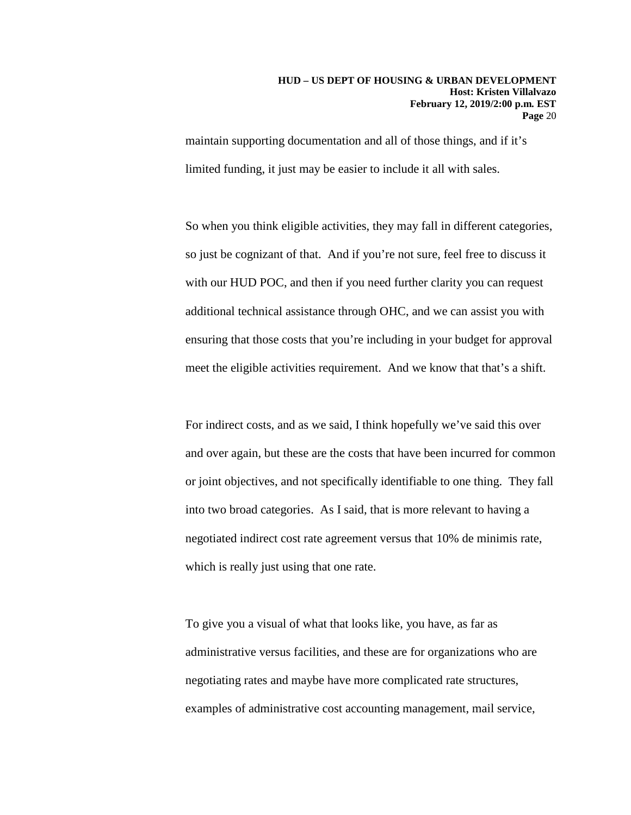maintain supporting documentation and all of those things, and if it's limited funding, it just may be easier to include it all with sales.

So when you think eligible activities, they may fall in different categories, so just be cognizant of that. And if you're not sure, feel free to discuss it with our HUD POC, and then if you need further clarity you can request additional technical assistance through OHC, and we can assist you with ensuring that those costs that you're including in your budget for approval meet the eligible activities requirement. And we know that that's a shift.

For indirect costs, and as we said, I think hopefully we've said this over and over again, but these are the costs that have been incurred for common or joint objectives, and not specifically identifiable to one thing. They fall into two broad categories. As I said, that is more relevant to having a negotiated indirect cost rate agreement versus that 10% de minimis rate, which is really just using that one rate.

To give you a visual of what that looks like, you have, as far as administrative versus facilities, and these are for organizations who are negotiating rates and maybe have more complicated rate structures, examples of administrative cost accounting management, mail service,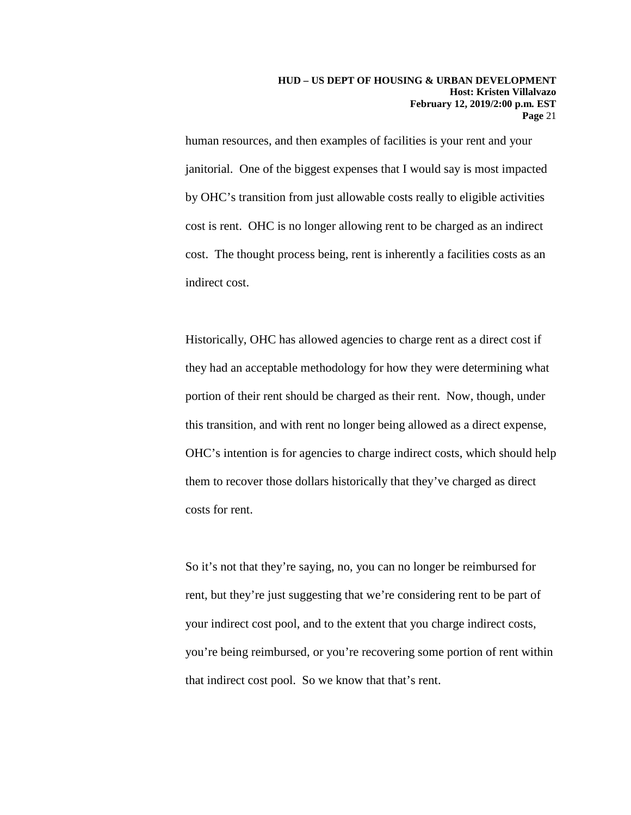human resources, and then examples of facilities is your rent and your janitorial. One of the biggest expenses that I would say is most impacted by OHC's transition from just allowable costs really to eligible activities cost is rent. OHC is no longer allowing rent to be charged as an indirect cost. The thought process being, rent is inherently a facilities costs as an indirect cost.

Historically, OHC has allowed agencies to charge rent as a direct cost if they had an acceptable methodology for how they were determining what portion of their rent should be charged as their rent. Now, though, under this transition, and with rent no longer being allowed as a direct expense, OHC's intention is for agencies to charge indirect costs, which should help them to recover those dollars historically that they've charged as direct costs for rent.

So it's not that they're saying, no, you can no longer be reimbursed for rent, but they're just suggesting that we're considering rent to be part of your indirect cost pool, and to the extent that you charge indirect costs, you're being reimbursed, or you're recovering some portion of rent within that indirect cost pool. So we know that that's rent.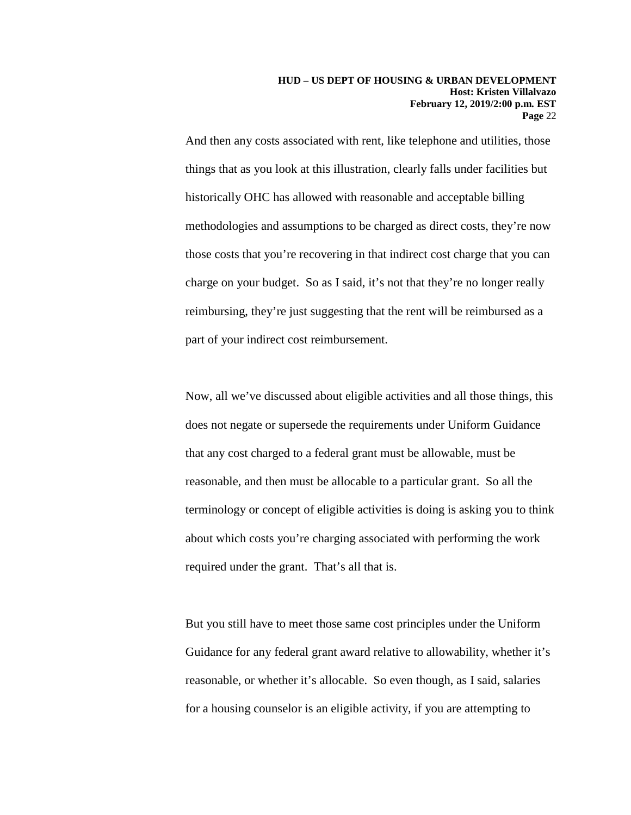And then any costs associated with rent, like telephone and utilities, those things that as you look at this illustration, clearly falls under facilities but historically OHC has allowed with reasonable and acceptable billing methodologies and assumptions to be charged as direct costs, they're now those costs that you're recovering in that indirect cost charge that you can charge on your budget. So as I said, it's not that they're no longer really reimbursing, they're just suggesting that the rent will be reimbursed as a part of your indirect cost reimbursement.

Now, all we've discussed about eligible activities and all those things, this does not negate or supersede the requirements under Uniform Guidance that any cost charged to a federal grant must be allowable, must be reasonable, and then must be allocable to a particular grant. So all the terminology or concept of eligible activities is doing is asking you to think about which costs you're charging associated with performing the work required under the grant. That's all that is.

But you still have to meet those same cost principles under the Uniform Guidance for any federal grant award relative to allowability, whether it's reasonable, or whether it's allocable. So even though, as I said, salaries for a housing counselor is an eligible activity, if you are attempting to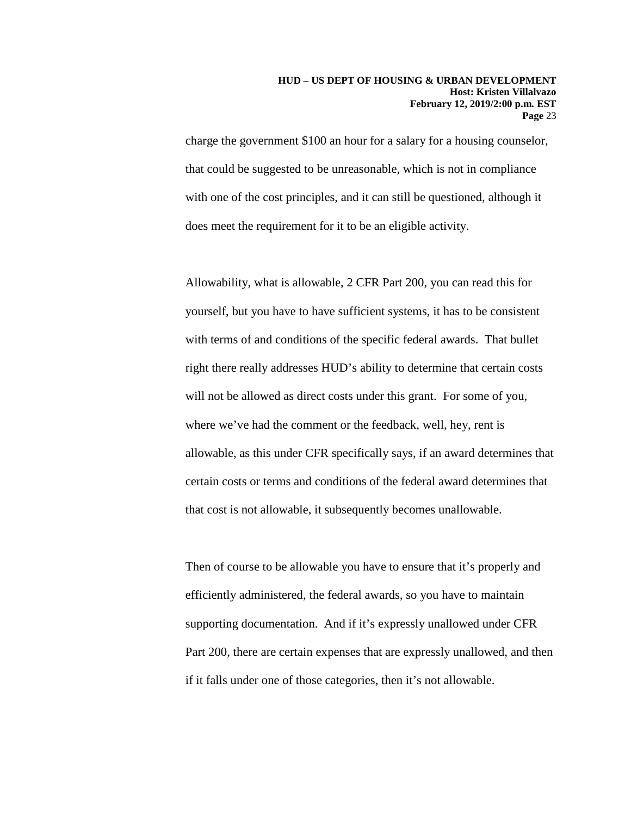charge the government \$100 an hour for a salary for a housing counselor, that could be suggested to be unreasonable, which is not in compliance with one of the cost principles, and it can still be questioned, although it does meet the requirement for it to be an eligible activity.

Allowability, what is allowable, 2 CFR Part 200, you can read this for yourself, but you have to have sufficient systems, it has to be consistent with terms of and conditions of the specific federal awards. That bullet right there really addresses HUD's ability to determine that certain costs will not be allowed as direct costs under this grant. For some of you, where we've had the comment or the feedback, well, hey, rent is allowable, as this under CFR specifically says, if an award determines that certain costs or terms and conditions of the federal award determines that that cost is not allowable, it subsequently becomes unallowable.

Then of course to be allowable you have to ensure that it's properly and efficiently administered, the federal awards, so you have to maintain supporting documentation. And if it's expressly unallowed under CFR Part 200, there are certain expenses that are expressly unallowed, and then if it falls under one of those categories, then it's not allowable.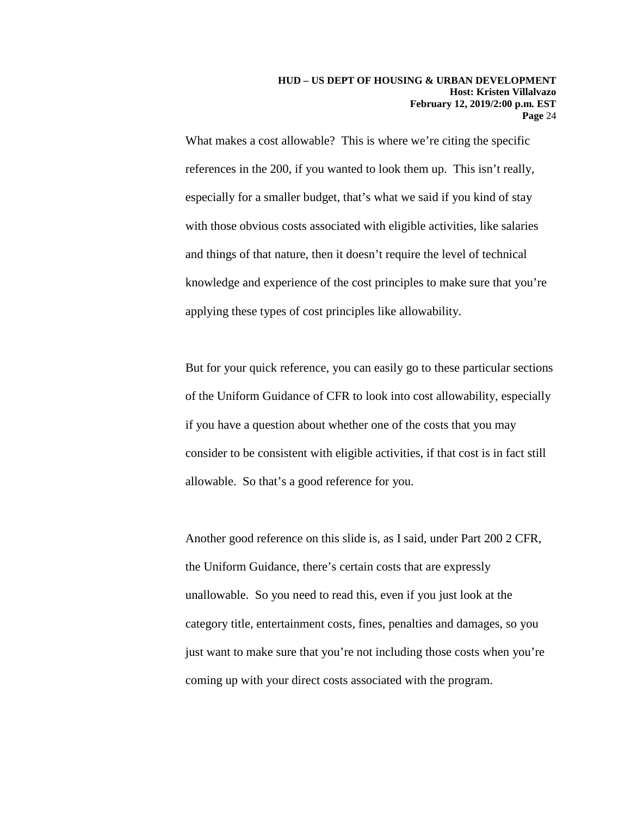What makes a cost allowable? This is where we're citing the specific references in the 200, if you wanted to look them up. This isn't really, especially for a smaller budget, that's what we said if you kind of stay with those obvious costs associated with eligible activities, like salaries and things of that nature, then it doesn't require the level of technical knowledge and experience of the cost principles to make sure that you're applying these types of cost principles like allowability.

But for your quick reference, you can easily go to these particular sections of the Uniform Guidance of CFR to look into cost allowability, especially if you have a question about whether one of the costs that you may consider to be consistent with eligible activities, if that cost is in fact still allowable. So that's a good reference for you.

Another good reference on this slide is, as I said, under Part 200 2 CFR, the Uniform Guidance, there's certain costs that are expressly unallowable. So you need to read this, even if you just look at the category title, entertainment costs, fines, penalties and damages, so you just want to make sure that you're not including those costs when you're coming up with your direct costs associated with the program.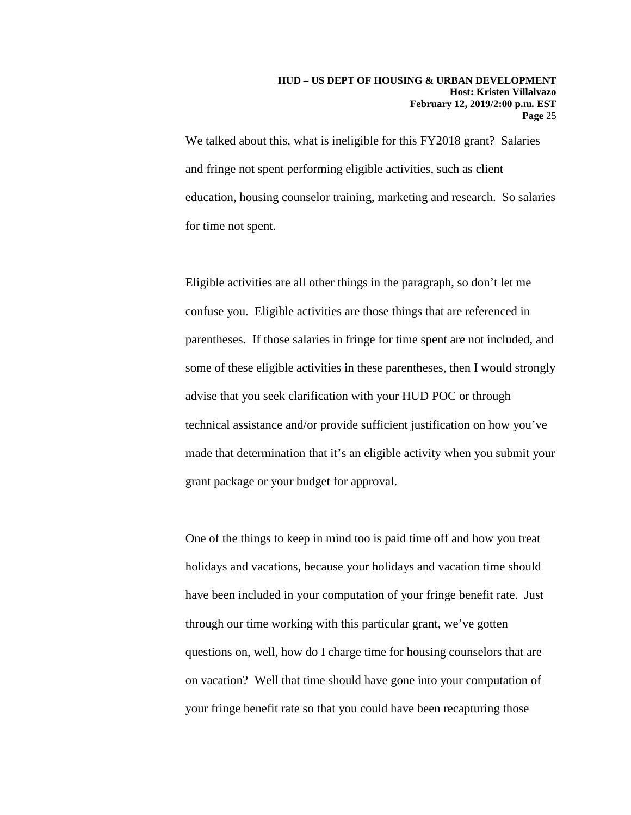We talked about this, what is ineligible for this FY2018 grant? Salaries and fringe not spent performing eligible activities, such as client education, housing counselor training, marketing and research. So salaries for time not spent.

Eligible activities are all other things in the paragraph, so don't let me confuse you. Eligible activities are those things that are referenced in parentheses. If those salaries in fringe for time spent are not included, and some of these eligible activities in these parentheses, then I would strongly advise that you seek clarification with your HUD POC or through technical assistance and/or provide sufficient justification on how you've made that determination that it's an eligible activity when you submit your grant package or your budget for approval.

One of the things to keep in mind too is paid time off and how you treat holidays and vacations, because your holidays and vacation time should have been included in your computation of your fringe benefit rate. Just through our time working with this particular grant, we've gotten questions on, well, how do I charge time for housing counselors that are on vacation? Well that time should have gone into your computation of your fringe benefit rate so that you could have been recapturing those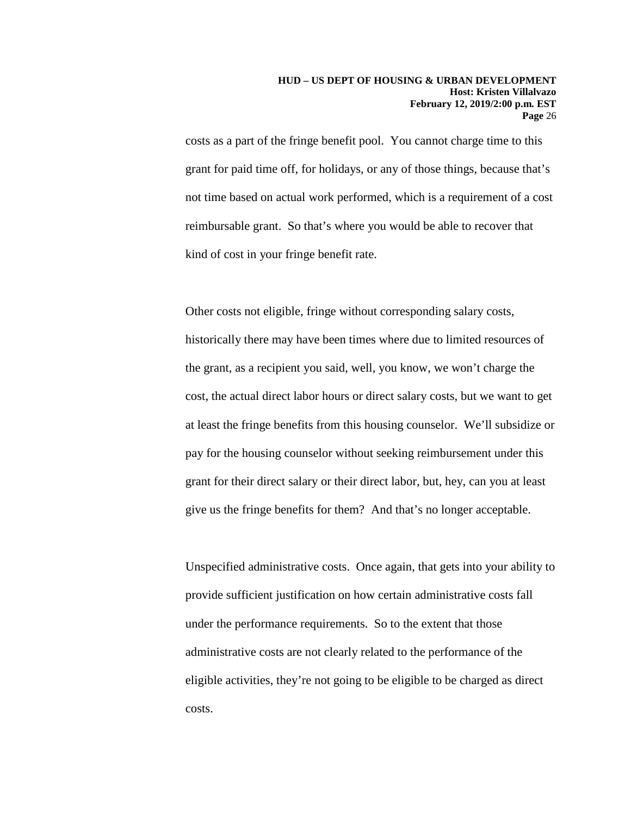costs as a part of the fringe benefit pool. You cannot charge time to this grant for paid time off, for holidays, or any of those things, because that's not time based on actual work performed, which is a requirement of a cost reimbursable grant. So that's where you would be able to recover that kind of cost in your fringe benefit rate.

Other costs not eligible, fringe without corresponding salary costs, historically there may have been times where due to limited resources of the grant, as a recipient you said, well, you know, we won't charge the cost, the actual direct labor hours or direct salary costs, but we want to get at least the fringe benefits from this housing counselor. We'll subsidize or pay for the housing counselor without seeking reimbursement under this grant for their direct salary or their direct labor, but, hey, can you at least give us the fringe benefits for them? And that's no longer acceptable.

Unspecified administrative costs. Once again, that gets into your ability to provide sufficient justification on how certain administrative costs fall under the performance requirements. So to the extent that those administrative costs are not clearly related to the performance of the eligible activities, they're not going to be eligible to be charged as direct costs.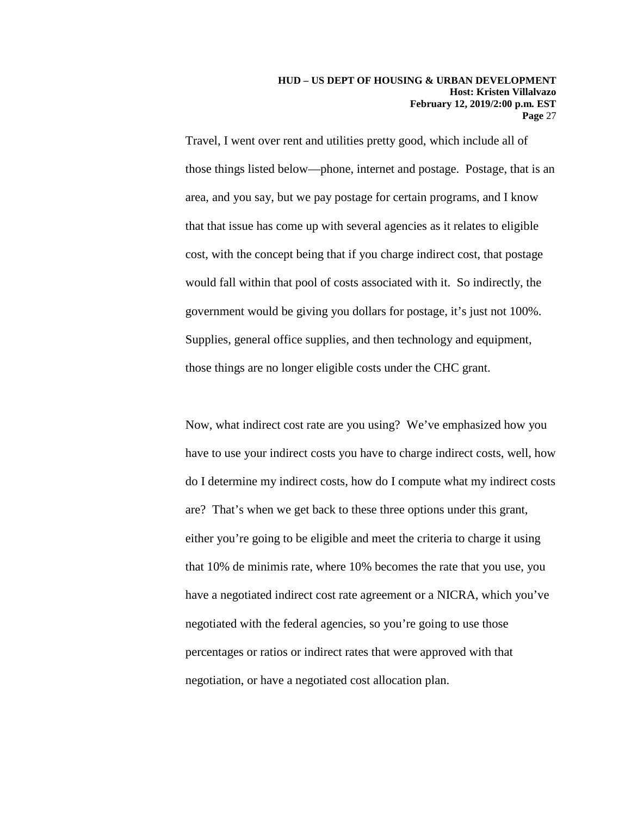Travel, I went over rent and utilities pretty good, which include all of those things listed below—phone, internet and postage. Postage, that is an area, and you say, but we pay postage for certain programs, and I know that that issue has come up with several agencies as it relates to eligible cost, with the concept being that if you charge indirect cost, that postage would fall within that pool of costs associated with it. So indirectly, the government would be giving you dollars for postage, it's just not 100%. Supplies, general office supplies, and then technology and equipment, those things are no longer eligible costs under the CHC grant.

Now, what indirect cost rate are you using? We've emphasized how you have to use your indirect costs you have to charge indirect costs, well, how do I determine my indirect costs, how do I compute what my indirect costs are? That's when we get back to these three options under this grant, either you're going to be eligible and meet the criteria to charge it using that 10% de minimis rate, where 10% becomes the rate that you use, you have a negotiated indirect cost rate agreement or a NICRA, which you've negotiated with the federal agencies, so you're going to use those percentages or ratios or indirect rates that were approved with that negotiation, or have a negotiated cost allocation plan.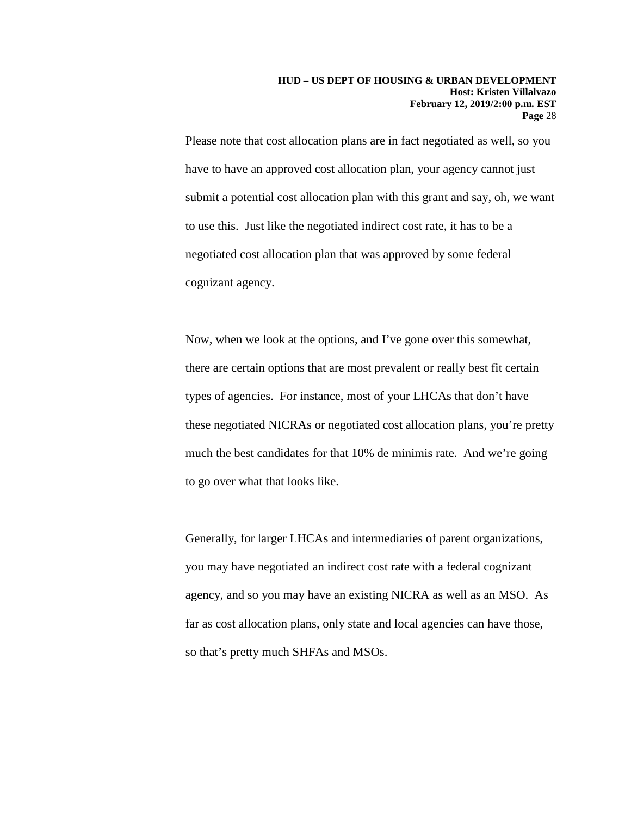Please note that cost allocation plans are in fact negotiated as well, so you have to have an approved cost allocation plan, your agency cannot just submit a potential cost allocation plan with this grant and say, oh, we want to use this. Just like the negotiated indirect cost rate, it has to be a negotiated cost allocation plan that was approved by some federal cognizant agency.

Now, when we look at the options, and I've gone over this somewhat, there are certain options that are most prevalent or really best fit certain types of agencies. For instance, most of your LHCAs that don't have these negotiated NICRAs or negotiated cost allocation plans, you're pretty much the best candidates for that 10% de minimis rate. And we're going to go over what that looks like.

Generally, for larger LHCAs and intermediaries of parent organizations, you may have negotiated an indirect cost rate with a federal cognizant agency, and so you may have an existing NICRA as well as an MSO. As far as cost allocation plans, only state and local agencies can have those, so that's pretty much SHFAs and MSOs.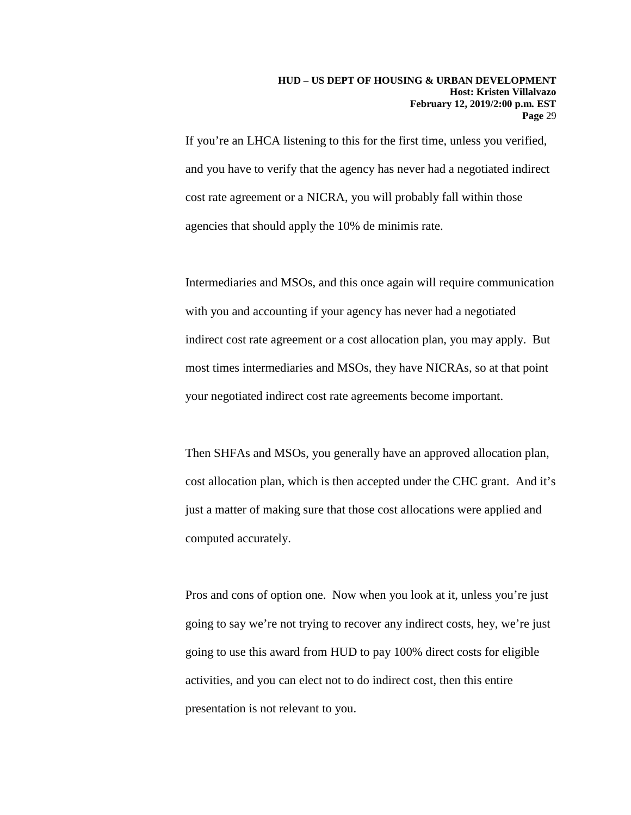If you're an LHCA listening to this for the first time, unless you verified, and you have to verify that the agency has never had a negotiated indirect cost rate agreement or a NICRA, you will probably fall within those agencies that should apply the 10% de minimis rate.

Intermediaries and MSOs, and this once again will require communication with you and accounting if your agency has never had a negotiated indirect cost rate agreement or a cost allocation plan, you may apply. But most times intermediaries and MSOs, they have NICRAs, so at that point your negotiated indirect cost rate agreements become important.

Then SHFAs and MSOs, you generally have an approved allocation plan, cost allocation plan, which is then accepted under the CHC grant. And it's just a matter of making sure that those cost allocations were applied and computed accurately.

Pros and cons of option one. Now when you look at it, unless you're just going to say we're not trying to recover any indirect costs, hey, we're just going to use this award from HUD to pay 100% direct costs for eligible activities, and you can elect not to do indirect cost, then this entire presentation is not relevant to you.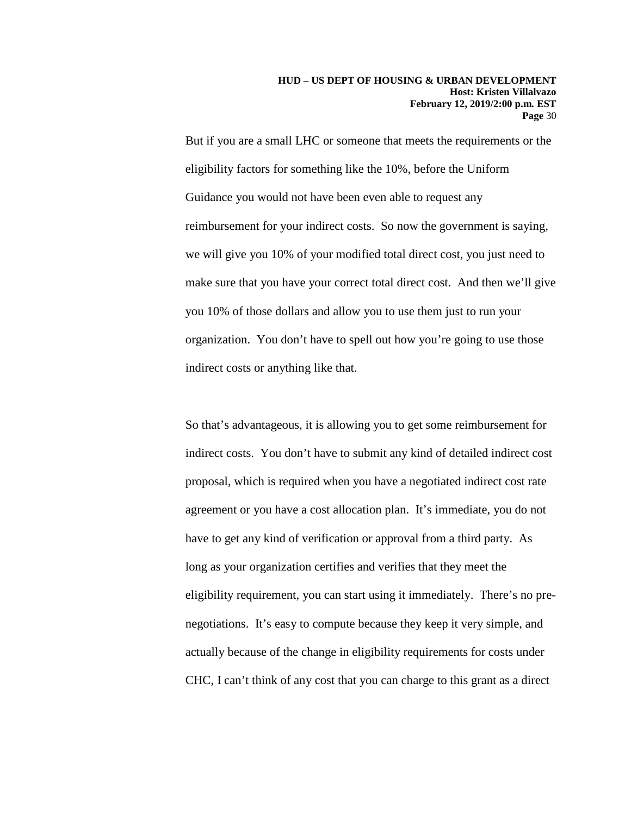But if you are a small LHC or someone that meets the requirements or the eligibility factors for something like the 10%, before the Uniform Guidance you would not have been even able to request any reimbursement for your indirect costs. So now the government is saying, we will give you 10% of your modified total direct cost, you just need to make sure that you have your correct total direct cost. And then we'll give you 10% of those dollars and allow you to use them just to run your organization. You don't have to spell out how you're going to use those indirect costs or anything like that.

So that's advantageous, it is allowing you to get some reimbursement for indirect costs. You don't have to submit any kind of detailed indirect cost proposal, which is required when you have a negotiated indirect cost rate agreement or you have a cost allocation plan. It's immediate, you do not have to get any kind of verification or approval from a third party. As long as your organization certifies and verifies that they meet the eligibility requirement, you can start using it immediately. There's no prenegotiations. It's easy to compute because they keep it very simple, and actually because of the change in eligibility requirements for costs under CHC, I can't think of any cost that you can charge to this grant as a direct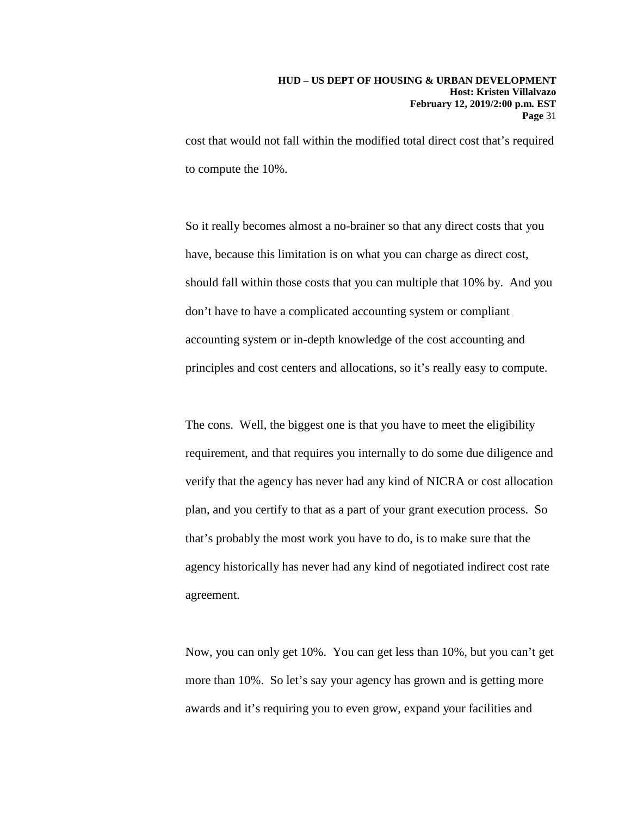cost that would not fall within the modified total direct cost that's required to compute the 10%.

So it really becomes almost a no-brainer so that any direct costs that you have, because this limitation is on what you can charge as direct cost, should fall within those costs that you can multiple that 10% by. And you don't have to have a complicated accounting system or compliant accounting system or in-depth knowledge of the cost accounting and principles and cost centers and allocations, so it's really easy to compute.

The cons. Well, the biggest one is that you have to meet the eligibility requirement, and that requires you internally to do some due diligence and verify that the agency has never had any kind of NICRA or cost allocation plan, and you certify to that as a part of your grant execution process. So that's probably the most work you have to do, is to make sure that the agency historically has never had any kind of negotiated indirect cost rate agreement.

Now, you can only get 10%. You can get less than 10%, but you can't get more than 10%. So let's say your agency has grown and is getting more awards and it's requiring you to even grow, expand your facilities and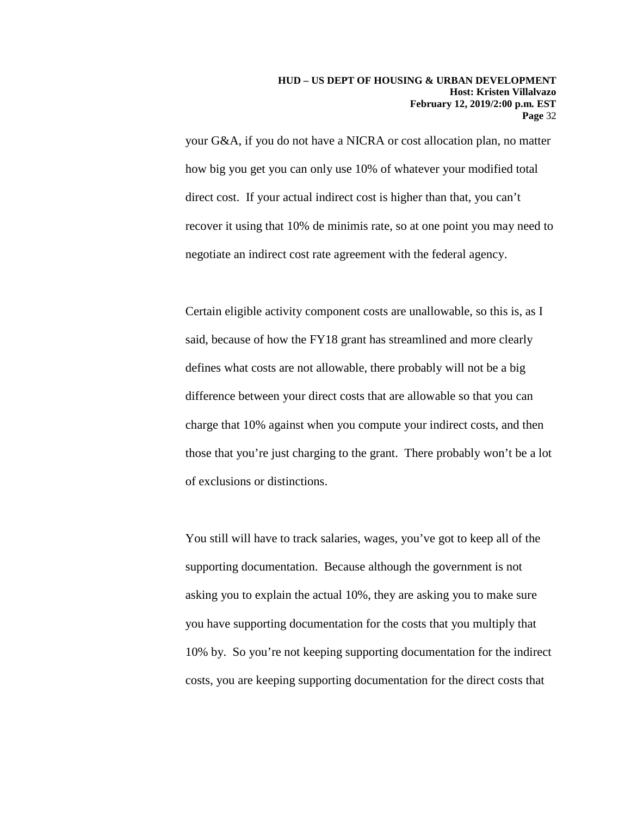your G&A, if you do not have a NICRA or cost allocation plan, no matter how big you get you can only use 10% of whatever your modified total direct cost. If your actual indirect cost is higher than that, you can't recover it using that 10% de minimis rate, so at one point you may need to negotiate an indirect cost rate agreement with the federal agency.

Certain eligible activity component costs are unallowable, so this is, as I said, because of how the FY18 grant has streamlined and more clearly defines what costs are not allowable, there probably will not be a big difference between your direct costs that are allowable so that you can charge that 10% against when you compute your indirect costs, and then those that you're just charging to the grant. There probably won't be a lot of exclusions or distinctions.

You still will have to track salaries, wages, you've got to keep all of the supporting documentation. Because although the government is not asking you to explain the actual 10%, they are asking you to make sure you have supporting documentation for the costs that you multiply that 10% by. So you're not keeping supporting documentation for the indirect costs, you are keeping supporting documentation for the direct costs that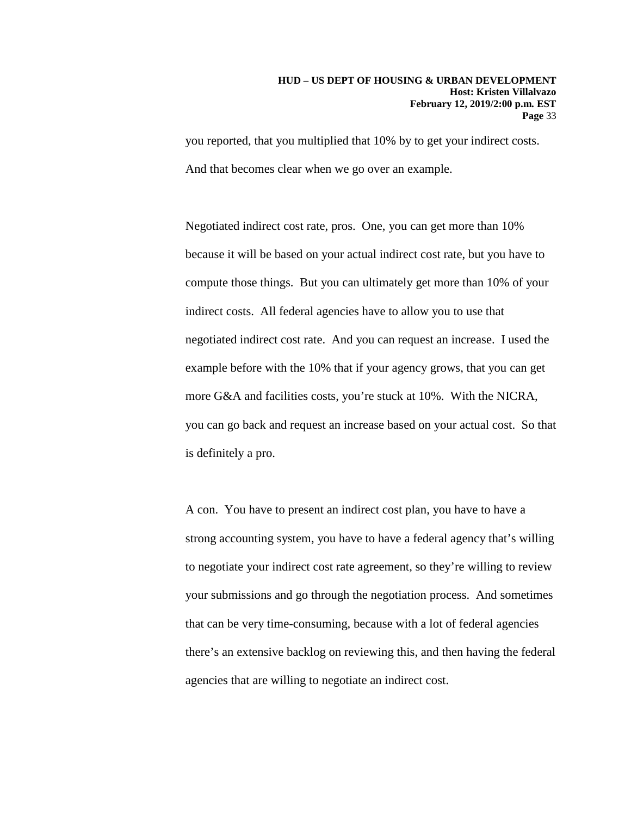you reported, that you multiplied that 10% by to get your indirect costs. And that becomes clear when we go over an example.

Negotiated indirect cost rate, pros. One, you can get more than 10% because it will be based on your actual indirect cost rate, but you have to compute those things. But you can ultimately get more than 10% of your indirect costs. All federal agencies have to allow you to use that negotiated indirect cost rate. And you can request an increase. I used the example before with the 10% that if your agency grows, that you can get more G&A and facilities costs, you're stuck at 10%. With the NICRA, you can go back and request an increase based on your actual cost. So that is definitely a pro.

A con. You have to present an indirect cost plan, you have to have a strong accounting system, you have to have a federal agency that's willing to negotiate your indirect cost rate agreement, so they're willing to review your submissions and go through the negotiation process. And sometimes that can be very time-consuming, because with a lot of federal agencies there's an extensive backlog on reviewing this, and then having the federal agencies that are willing to negotiate an indirect cost.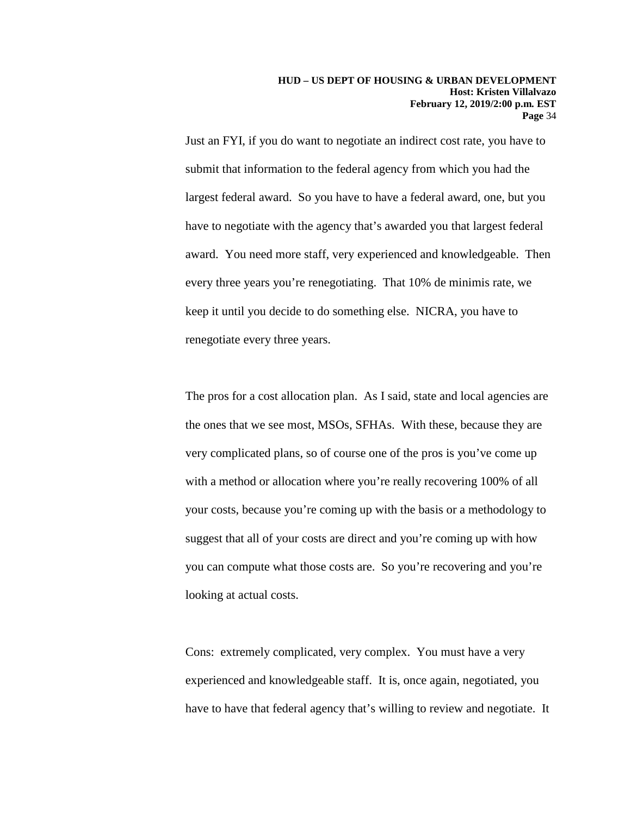Just an FYI, if you do want to negotiate an indirect cost rate, you have to submit that information to the federal agency from which you had the largest federal award. So you have to have a federal award, one, but you have to negotiate with the agency that's awarded you that largest federal award. You need more staff, very experienced and knowledgeable. Then every three years you're renegotiating. That 10% de minimis rate, we keep it until you decide to do something else. NICRA, you have to renegotiate every three years.

The pros for a cost allocation plan. As I said, state and local agencies are the ones that we see most, MSOs, SFHAs. With these, because they are very complicated plans, so of course one of the pros is you've come up with a method or allocation where you're really recovering 100% of all your costs, because you're coming up with the basis or a methodology to suggest that all of your costs are direct and you're coming up with how you can compute what those costs are. So you're recovering and you're looking at actual costs.

Cons: extremely complicated, very complex. You must have a very experienced and knowledgeable staff. It is, once again, negotiated, you have to have that federal agency that's willing to review and negotiate. It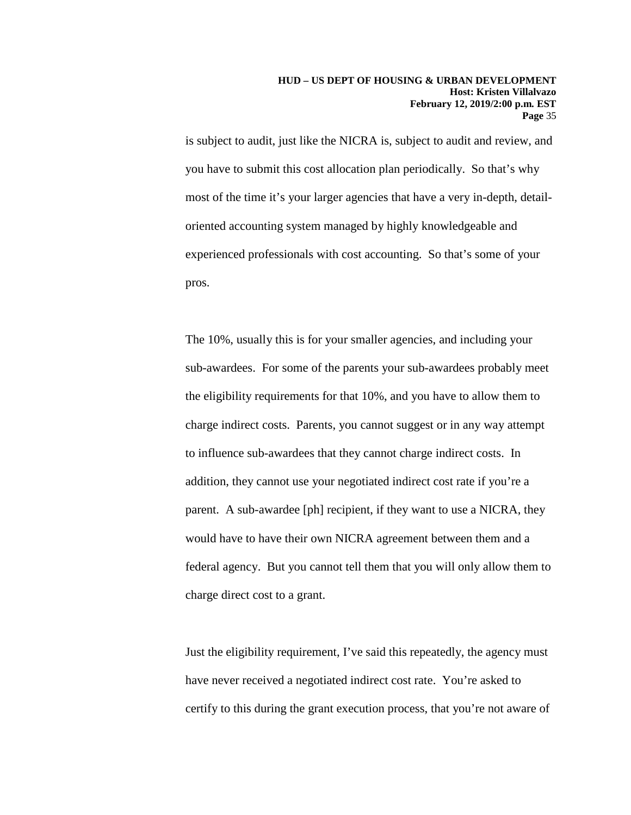is subject to audit, just like the NICRA is, subject to audit and review, and you have to submit this cost allocation plan periodically. So that's why most of the time it's your larger agencies that have a very in-depth, detailoriented accounting system managed by highly knowledgeable and experienced professionals with cost accounting. So that's some of your pros.

The 10%, usually this is for your smaller agencies, and including your sub-awardees. For some of the parents your sub-awardees probably meet the eligibility requirements for that 10%, and you have to allow them to charge indirect costs. Parents, you cannot suggest or in any way attempt to influence sub-awardees that they cannot charge indirect costs. In addition, they cannot use your negotiated indirect cost rate if you're a parent. A sub-awardee [ph] recipient, if they want to use a NICRA, they would have to have their own NICRA agreement between them and a federal agency. But you cannot tell them that you will only allow them to charge direct cost to a grant.

Just the eligibility requirement, I've said this repeatedly, the agency must have never received a negotiated indirect cost rate. You're asked to certify to this during the grant execution process, that you're not aware of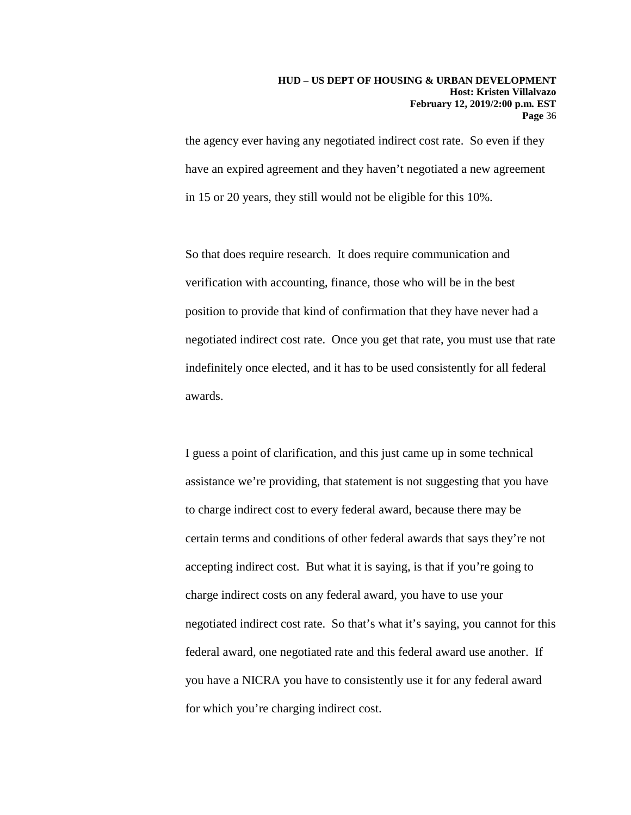the agency ever having any negotiated indirect cost rate. So even if they have an expired agreement and they haven't negotiated a new agreement in 15 or 20 years, they still would not be eligible for this 10%.

So that does require research. It does require communication and verification with accounting, finance, those who will be in the best position to provide that kind of confirmation that they have never had a negotiated indirect cost rate. Once you get that rate, you must use that rate indefinitely once elected, and it has to be used consistently for all federal awards.

I guess a point of clarification, and this just came up in some technical assistance we're providing, that statement is not suggesting that you have to charge indirect cost to every federal award, because there may be certain terms and conditions of other federal awards that says they're not accepting indirect cost. But what it is saying, is that if you're going to charge indirect costs on any federal award, you have to use your negotiated indirect cost rate. So that's what it's saying, you cannot for this federal award, one negotiated rate and this federal award use another. If you have a NICRA you have to consistently use it for any federal award for which you're charging indirect cost.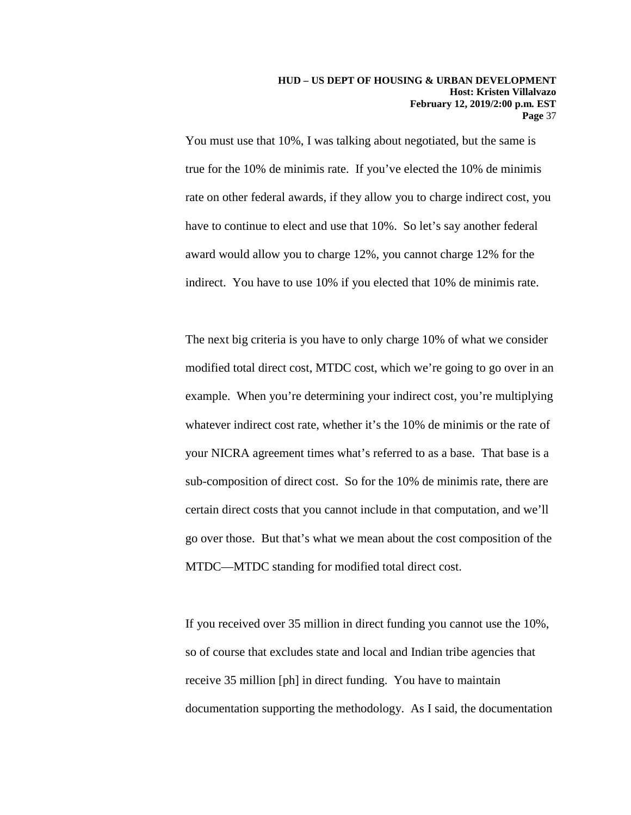You must use that 10%, I was talking about negotiated, but the same is true for the 10% de minimis rate. If you've elected the 10% de minimis rate on other federal awards, if they allow you to charge indirect cost, you have to continue to elect and use that 10%. So let's say another federal award would allow you to charge 12%, you cannot charge 12% for the indirect. You have to use 10% if you elected that 10% de minimis rate.

The next big criteria is you have to only charge 10% of what we consider modified total direct cost, MTDC cost, which we're going to go over in an example. When you're determining your indirect cost, you're multiplying whatever indirect cost rate, whether it's the 10% de minimis or the rate of your NICRA agreement times what's referred to as a base. That base is a sub-composition of direct cost. So for the 10% de minimis rate, there are certain direct costs that you cannot include in that computation, and we'll go over those. But that's what we mean about the cost composition of the MTDC—MTDC standing for modified total direct cost.

If you received over 35 million in direct funding you cannot use the 10%, so of course that excludes state and local and Indian tribe agencies that receive 35 million [ph] in direct funding. You have to maintain documentation supporting the methodology. As I said, the documentation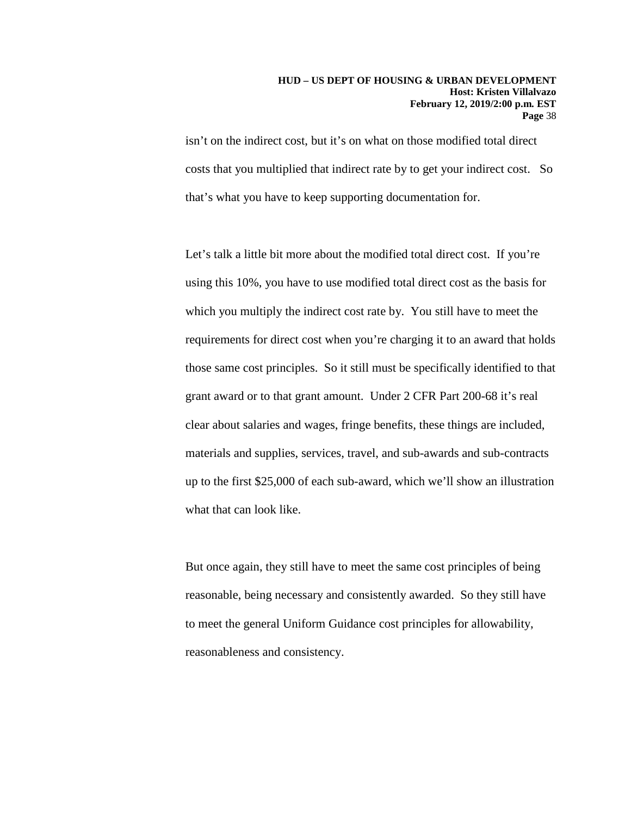isn't on the indirect cost, but it's on what on those modified total direct costs that you multiplied that indirect rate by to get your indirect cost. So that's what you have to keep supporting documentation for.

Let's talk a little bit more about the modified total direct cost. If you're using this 10%, you have to use modified total direct cost as the basis for which you multiply the indirect cost rate by. You still have to meet the requirements for direct cost when you're charging it to an award that holds those same cost principles. So it still must be specifically identified to that grant award or to that grant amount. Under 2 CFR Part 200-68 it's real clear about salaries and wages, fringe benefits, these things are included, materials and supplies, services, travel, and sub-awards and sub-contracts up to the first \$25,000 of each sub-award, which we'll show an illustration what that can look like.

But once again, they still have to meet the same cost principles of being reasonable, being necessary and consistently awarded. So they still have to meet the general Uniform Guidance cost principles for allowability, reasonableness and consistency.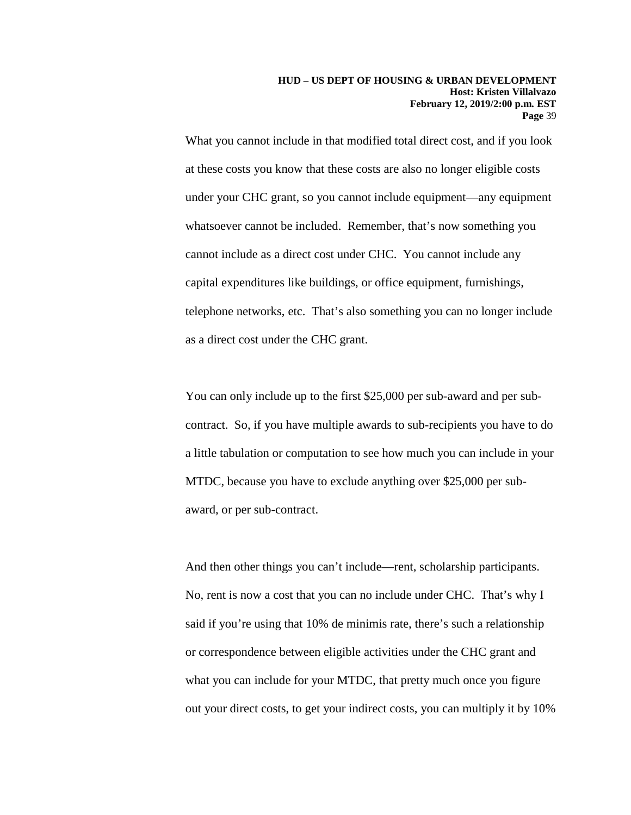What you cannot include in that modified total direct cost, and if you look at these costs you know that these costs are also no longer eligible costs under your CHC grant, so you cannot include equipment—any equipment whatsoever cannot be included. Remember, that's now something you cannot include as a direct cost under CHC. You cannot include any capital expenditures like buildings, or office equipment, furnishings, telephone networks, etc. That's also something you can no longer include as a direct cost under the CHC grant.

You can only include up to the first \$25,000 per sub-award and per subcontract. So, if you have multiple awards to sub-recipients you have to do a little tabulation or computation to see how much you can include in your MTDC, because you have to exclude anything over \$25,000 per subaward, or per sub-contract.

And then other things you can't include—rent, scholarship participants. No, rent is now a cost that you can no include under CHC. That's why I said if you're using that 10% de minimis rate, there's such a relationship or correspondence between eligible activities under the CHC grant and what you can include for your MTDC, that pretty much once you figure out your direct costs, to get your indirect costs, you can multiply it by 10%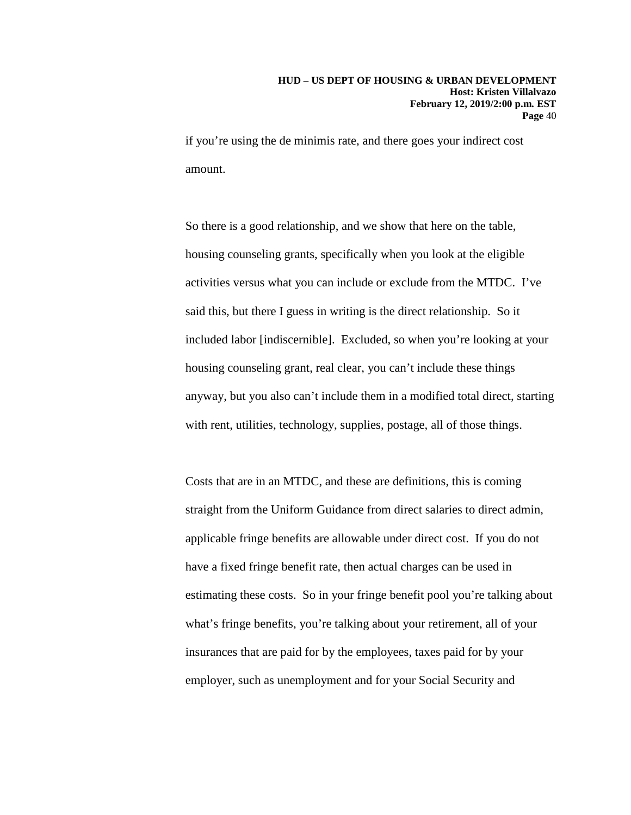if you're using the de minimis rate, and there goes your indirect cost amount.

So there is a good relationship, and we show that here on the table, housing counseling grants, specifically when you look at the eligible activities versus what you can include or exclude from the MTDC. I've said this, but there I guess in writing is the direct relationship. So it included labor [indiscernible]. Excluded, so when you're looking at your housing counseling grant, real clear, you can't include these things anyway, but you also can't include them in a modified total direct, starting with rent, utilities, technology, supplies, postage, all of those things.

Costs that are in an MTDC, and these are definitions, this is coming straight from the Uniform Guidance from direct salaries to direct admin, applicable fringe benefits are allowable under direct cost. If you do not have a fixed fringe benefit rate, then actual charges can be used in estimating these costs. So in your fringe benefit pool you're talking about what's fringe benefits, you're talking about your retirement, all of your insurances that are paid for by the employees, taxes paid for by your employer, such as unemployment and for your Social Security and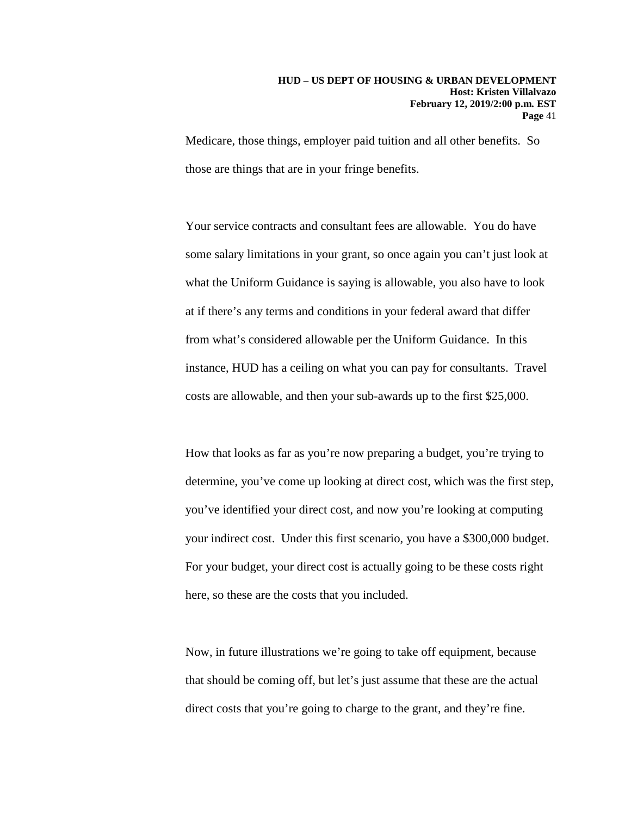Medicare, those things, employer paid tuition and all other benefits. So those are things that are in your fringe benefits.

Your service contracts and consultant fees are allowable. You do have some salary limitations in your grant, so once again you can't just look at what the Uniform Guidance is saying is allowable, you also have to look at if there's any terms and conditions in your federal award that differ from what's considered allowable per the Uniform Guidance. In this instance, HUD has a ceiling on what you can pay for consultants. Travel costs are allowable, and then your sub-awards up to the first \$25,000.

How that looks as far as you're now preparing a budget, you're trying to determine, you've come up looking at direct cost, which was the first step, you've identified your direct cost, and now you're looking at computing your indirect cost. Under this first scenario, you have a \$300,000 budget. For your budget, your direct cost is actually going to be these costs right here, so these are the costs that you included.

Now, in future illustrations we're going to take off equipment, because that should be coming off, but let's just assume that these are the actual direct costs that you're going to charge to the grant, and they're fine.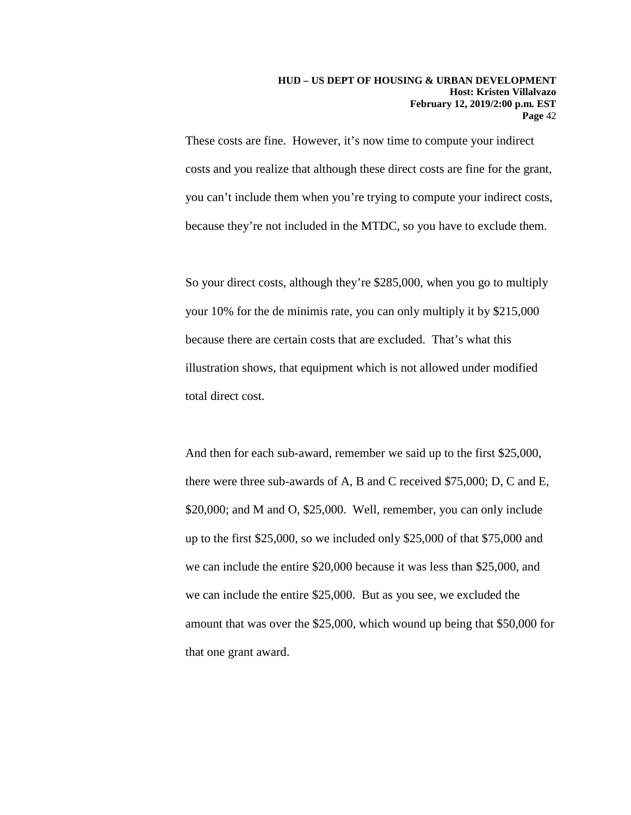These costs are fine. However, it's now time to compute your indirect costs and you realize that although these direct costs are fine for the grant, you can't include them when you're trying to compute your indirect costs, because they're not included in the MTDC, so you have to exclude them.

So your direct costs, although they're \$285,000, when you go to multiply your 10% for the de minimis rate, you can only multiply it by \$215,000 because there are certain costs that are excluded. That's what this illustration shows, that equipment which is not allowed under modified total direct cost.

And then for each sub-award, remember we said up to the first \$25,000, there were three sub-awards of A, B and C received \$75,000; D, C and E, \$20,000; and M and O, \$25,000. Well, remember, you can only include up to the first \$25,000, so we included only \$25,000 of that \$75,000 and we can include the entire \$20,000 because it was less than \$25,000, and we can include the entire \$25,000. But as you see, we excluded the amount that was over the \$25,000, which wound up being that \$50,000 for that one grant award.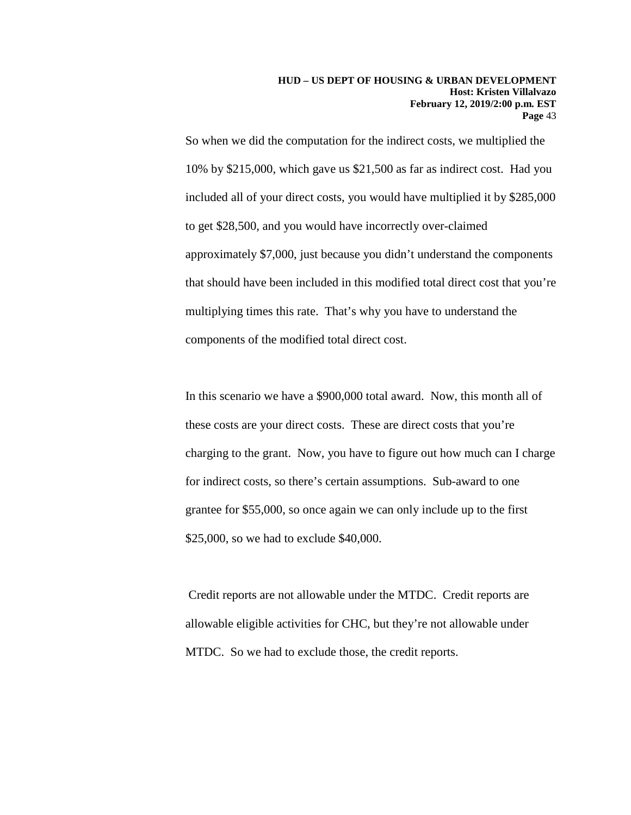So when we did the computation for the indirect costs, we multiplied the 10% by \$215,000, which gave us \$21,500 as far as indirect cost. Had you included all of your direct costs, you would have multiplied it by \$285,000 to get \$28,500, and you would have incorrectly over-claimed approximately \$7,000, just because you didn't understand the components that should have been included in this modified total direct cost that you're multiplying times this rate. That's why you have to understand the components of the modified total direct cost.

In this scenario we have a \$900,000 total award. Now, this month all of these costs are your direct costs. These are direct costs that you're charging to the grant. Now, you have to figure out how much can I charge for indirect costs, so there's certain assumptions. Sub-award to one grantee for \$55,000, so once again we can only include up to the first \$25,000, so we had to exclude \$40,000.

Credit reports are not allowable under the MTDC. Credit reports are allowable eligible activities for CHC, but they're not allowable under MTDC. So we had to exclude those, the credit reports.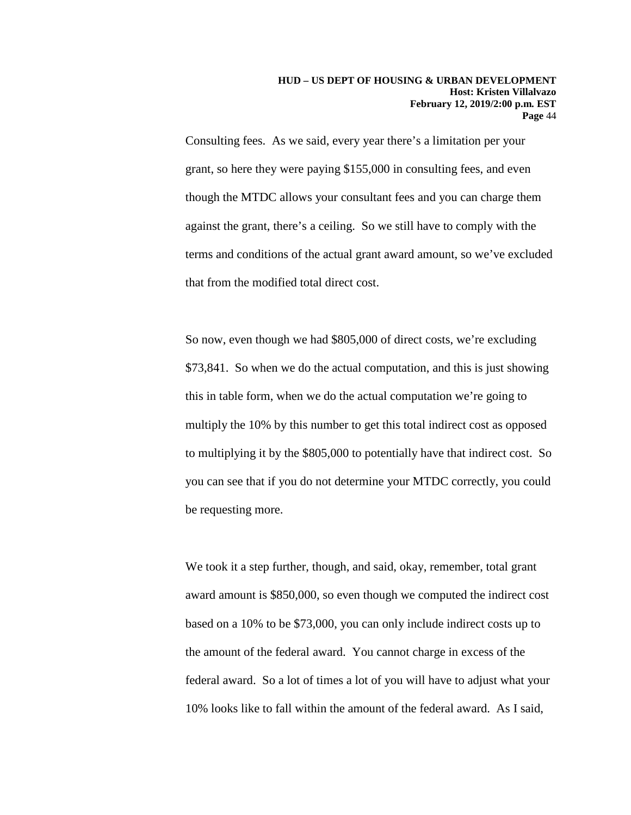Consulting fees. As we said, every year there's a limitation per your grant, so here they were paying \$155,000 in consulting fees, and even though the MTDC allows your consultant fees and you can charge them against the grant, there's a ceiling. So we still have to comply with the terms and conditions of the actual grant award amount, so we've excluded that from the modified total direct cost.

So now, even though we had \$805,000 of direct costs, we're excluding \$73,841. So when we do the actual computation, and this is just showing this in table form, when we do the actual computation we're going to multiply the 10% by this number to get this total indirect cost as opposed to multiplying it by the \$805,000 to potentially have that indirect cost. So you can see that if you do not determine your MTDC correctly, you could be requesting more.

We took it a step further, though, and said, okay, remember, total grant award amount is \$850,000, so even though we computed the indirect cost based on a 10% to be \$73,000, you can only include indirect costs up to the amount of the federal award. You cannot charge in excess of the federal award. So a lot of times a lot of you will have to adjust what your 10% looks like to fall within the amount of the federal award. As I said,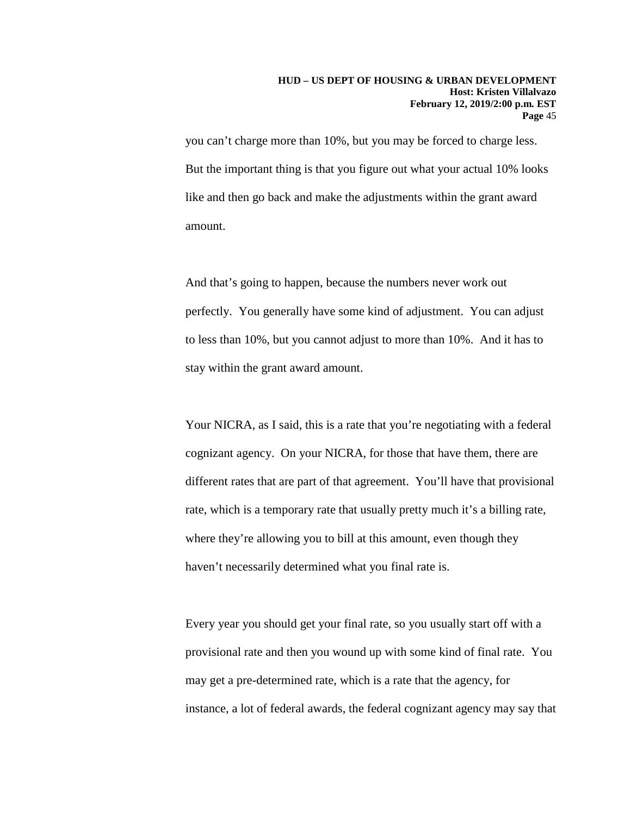you can't charge more than 10%, but you may be forced to charge less. But the important thing is that you figure out what your actual 10% looks like and then go back and make the adjustments within the grant award amount.

And that's going to happen, because the numbers never work out perfectly. You generally have some kind of adjustment. You can adjust to less than 10%, but you cannot adjust to more than 10%. And it has to stay within the grant award amount.

Your NICRA, as I said, this is a rate that you're negotiating with a federal cognizant agency. On your NICRA, for those that have them, there are different rates that are part of that agreement. You'll have that provisional rate, which is a temporary rate that usually pretty much it's a billing rate, where they're allowing you to bill at this amount, even though they haven't necessarily determined what you final rate is.

Every year you should get your final rate, so you usually start off with a provisional rate and then you wound up with some kind of final rate. You may get a pre-determined rate, which is a rate that the agency, for instance, a lot of federal awards, the federal cognizant agency may say that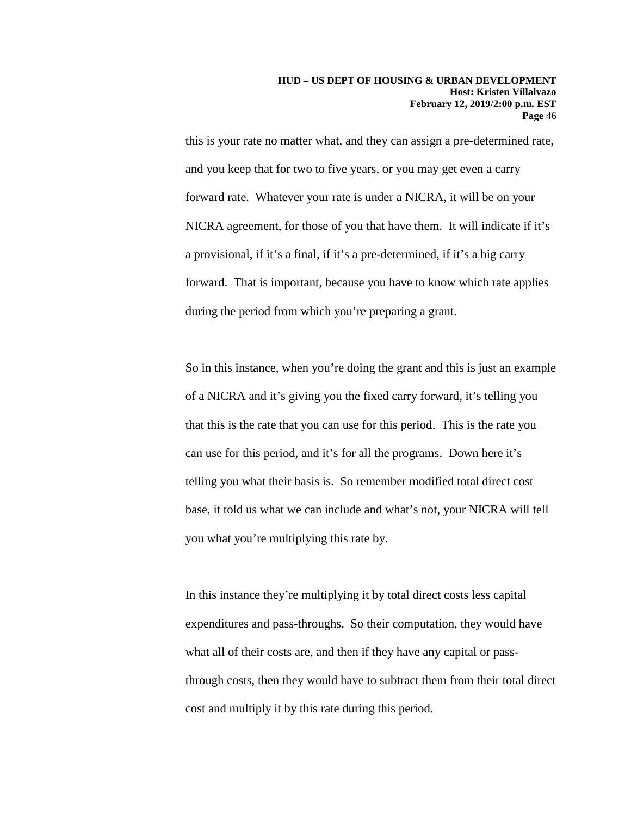this is your rate no matter what, and they can assign a pre-determined rate, and you keep that for two to five years, or you may get even a carry forward rate. Whatever your rate is under a NICRA, it will be on your NICRA agreement, for those of you that have them. It will indicate if it's a provisional, if it's a final, if it's a pre-determined, if it's a big carry forward. That is important, because you have to know which rate applies during the period from which you're preparing a grant.

So in this instance, when you're doing the grant and this is just an example of a NICRA and it's giving you the fixed carry forward, it's telling you that this is the rate that you can use for this period. This is the rate you can use for this period, and it's for all the programs. Down here it's telling you what their basis is. So remember modified total direct cost base, it told us what we can include and what's not, your NICRA will tell you what you're multiplying this rate by.

In this instance they're multiplying it by total direct costs less capital expenditures and pass-throughs. So their computation, they would have what all of their costs are, and then if they have any capital or passthrough costs, then they would have to subtract them from their total direct cost and multiply it by this rate during this period.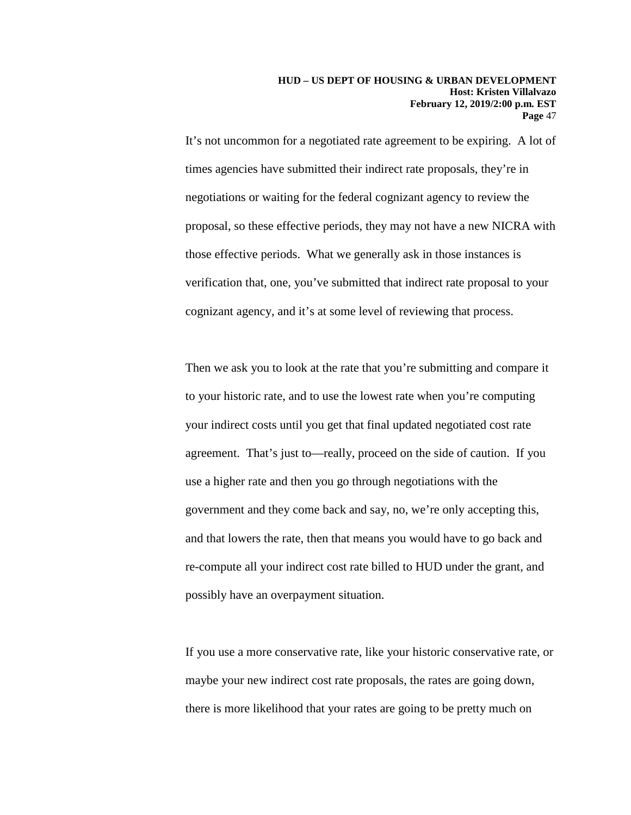It's not uncommon for a negotiated rate agreement to be expiring. A lot of times agencies have submitted their indirect rate proposals, they're in negotiations or waiting for the federal cognizant agency to review the proposal, so these effective periods, they may not have a new NICRA with those effective periods. What we generally ask in those instances is verification that, one, you've submitted that indirect rate proposal to your cognizant agency, and it's at some level of reviewing that process.

Then we ask you to look at the rate that you're submitting and compare it to your historic rate, and to use the lowest rate when you're computing your indirect costs until you get that final updated negotiated cost rate agreement. That's just to—really, proceed on the side of caution. If you use a higher rate and then you go through negotiations with the government and they come back and say, no, we're only accepting this, and that lowers the rate, then that means you would have to go back and re-compute all your indirect cost rate billed to HUD under the grant, and possibly have an overpayment situation.

If you use a more conservative rate, like your historic conservative rate, or maybe your new indirect cost rate proposals, the rates are going down, there is more likelihood that your rates are going to be pretty much on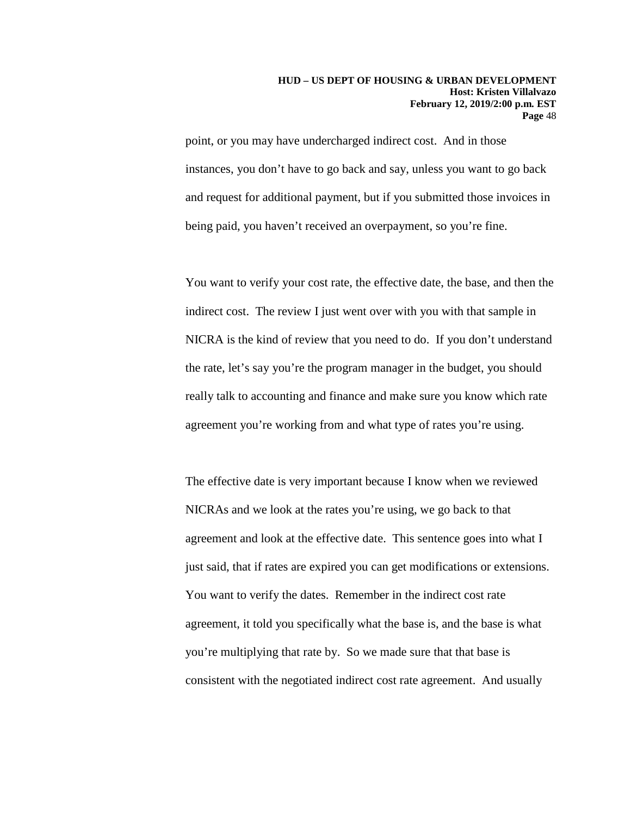point, or you may have undercharged indirect cost. And in those instances, you don't have to go back and say, unless you want to go back and request for additional payment, but if you submitted those invoices in being paid, you haven't received an overpayment, so you're fine.

You want to verify your cost rate, the effective date, the base, and then the indirect cost. The review I just went over with you with that sample in NICRA is the kind of review that you need to do. If you don't understand the rate, let's say you're the program manager in the budget, you should really talk to accounting and finance and make sure you know which rate agreement you're working from and what type of rates you're using.

The effective date is very important because I know when we reviewed NICRAs and we look at the rates you're using, we go back to that agreement and look at the effective date. This sentence goes into what I just said, that if rates are expired you can get modifications or extensions. You want to verify the dates. Remember in the indirect cost rate agreement, it told you specifically what the base is, and the base is what you're multiplying that rate by. So we made sure that that base is consistent with the negotiated indirect cost rate agreement. And usually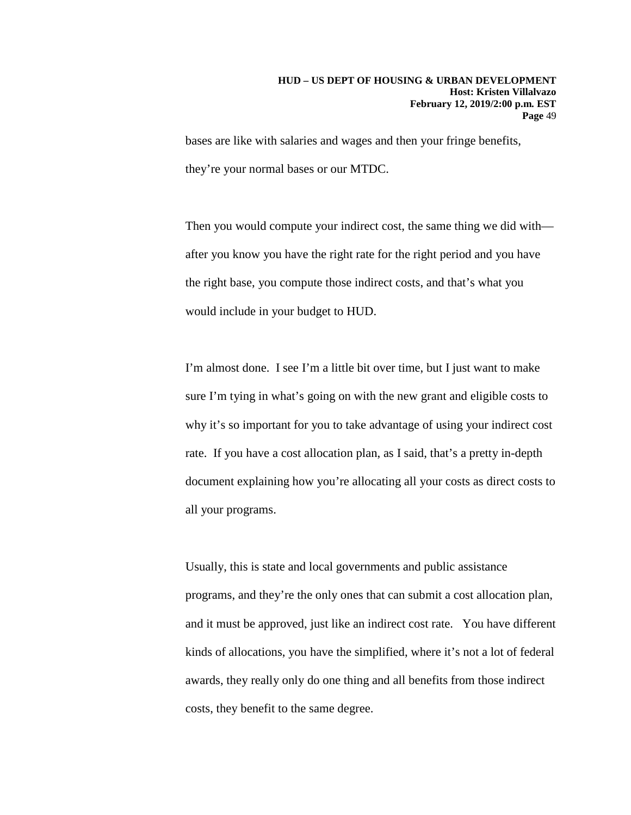bases are like with salaries and wages and then your fringe benefits, they're your normal bases or our MTDC.

Then you would compute your indirect cost, the same thing we did with after you know you have the right rate for the right period and you have the right base, you compute those indirect costs, and that's what you would include in your budget to HUD.

I'm almost done. I see I'm a little bit over time, but I just want to make sure I'm tying in what's going on with the new grant and eligible costs to why it's so important for you to take advantage of using your indirect cost rate. If you have a cost allocation plan, as I said, that's a pretty in-depth document explaining how you're allocating all your costs as direct costs to all your programs.

Usually, this is state and local governments and public assistance programs, and they're the only ones that can submit a cost allocation plan, and it must be approved, just like an indirect cost rate. You have different kinds of allocations, you have the simplified, where it's not a lot of federal awards, they really only do one thing and all benefits from those indirect costs, they benefit to the same degree.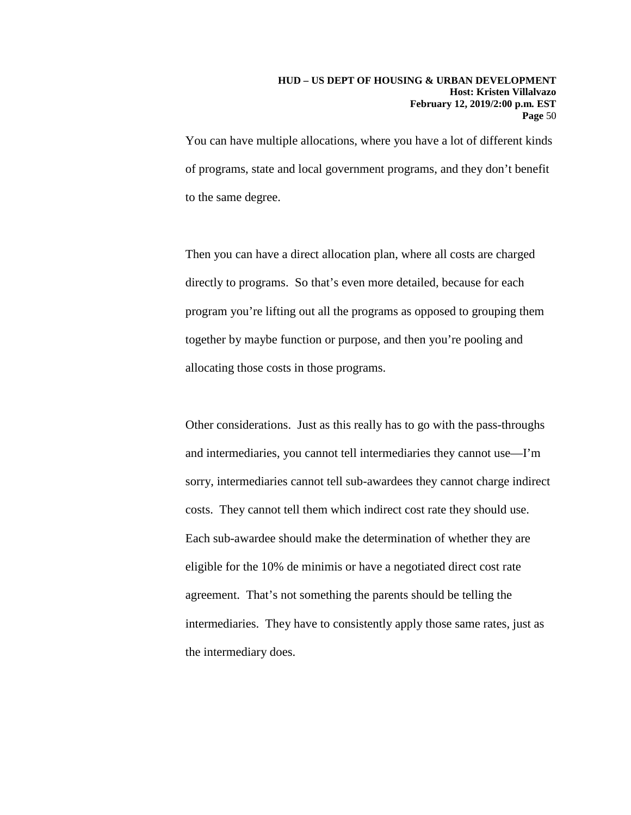You can have multiple allocations, where you have a lot of different kinds of programs, state and local government programs, and they don't benefit to the same degree.

Then you can have a direct allocation plan, where all costs are charged directly to programs. So that's even more detailed, because for each program you're lifting out all the programs as opposed to grouping them together by maybe function or purpose, and then you're pooling and allocating those costs in those programs.

Other considerations. Just as this really has to go with the pass-throughs and intermediaries, you cannot tell intermediaries they cannot use—I'm sorry, intermediaries cannot tell sub-awardees they cannot charge indirect costs. They cannot tell them which indirect cost rate they should use. Each sub-awardee should make the determination of whether they are eligible for the 10% de minimis or have a negotiated direct cost rate agreement. That's not something the parents should be telling the intermediaries. They have to consistently apply those same rates, just as the intermediary does.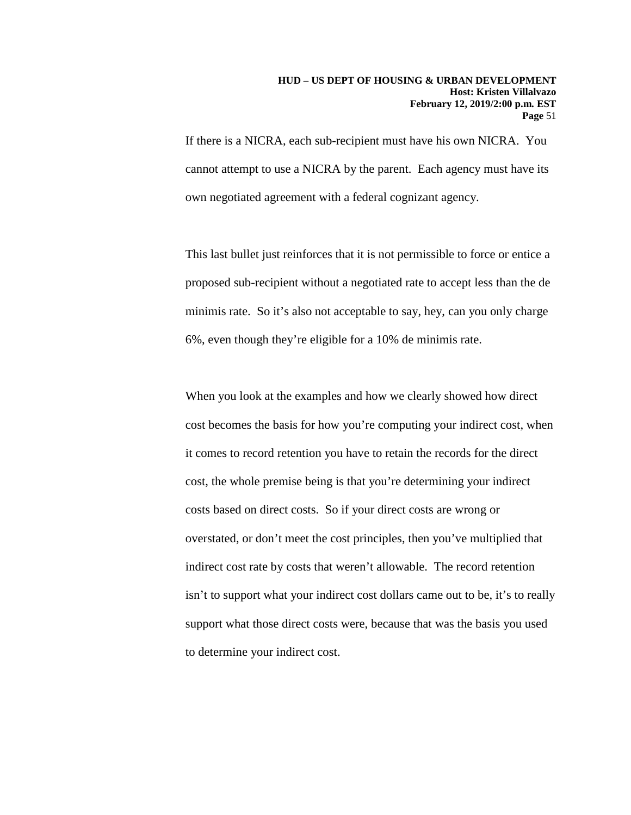If there is a NICRA, each sub-recipient must have his own NICRA. You cannot attempt to use a NICRA by the parent. Each agency must have its own negotiated agreement with a federal cognizant agency.

This last bullet just reinforces that it is not permissible to force or entice a proposed sub-recipient without a negotiated rate to accept less than the de minimis rate. So it's also not acceptable to say, hey, can you only charge 6%, even though they're eligible for a 10% de minimis rate.

When you look at the examples and how we clearly showed how direct cost becomes the basis for how you're computing your indirect cost, when it comes to record retention you have to retain the records for the direct cost, the whole premise being is that you're determining your indirect costs based on direct costs. So if your direct costs are wrong or overstated, or don't meet the cost principles, then you've multiplied that indirect cost rate by costs that weren't allowable. The record retention isn't to support what your indirect cost dollars came out to be, it's to really support what those direct costs were, because that was the basis you used to determine your indirect cost.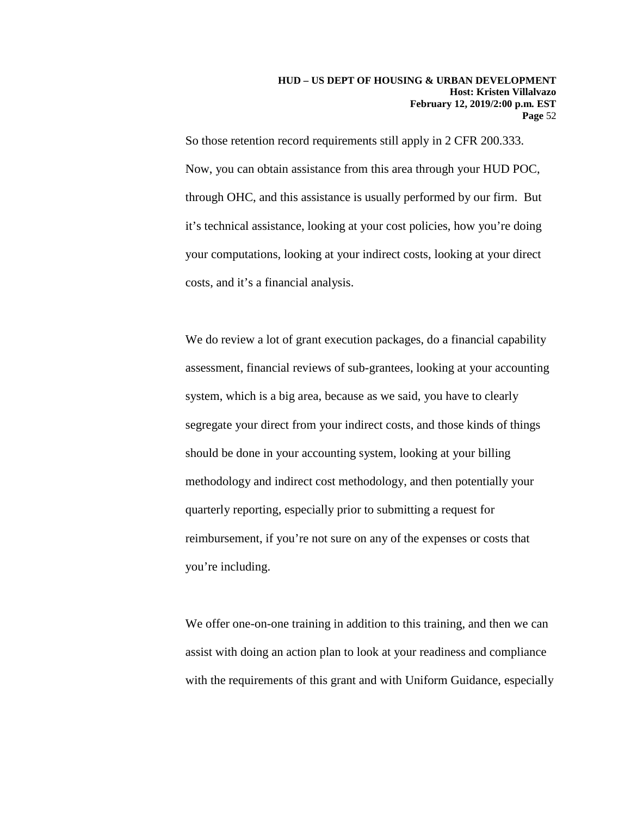So those retention record requirements still apply in 2 CFR 200.333. Now, you can obtain assistance from this area through your HUD POC, through OHC, and this assistance is usually performed by our firm. But it's technical assistance, looking at your cost policies, how you're doing your computations, looking at your indirect costs, looking at your direct costs, and it's a financial analysis.

We do review a lot of grant execution packages, do a financial capability assessment, financial reviews of sub-grantees, looking at your accounting system, which is a big area, because as we said, you have to clearly segregate your direct from your indirect costs, and those kinds of things should be done in your accounting system, looking at your billing methodology and indirect cost methodology, and then potentially your quarterly reporting, especially prior to submitting a request for reimbursement, if you're not sure on any of the expenses or costs that you're including.

We offer one-on-one training in addition to this training, and then we can assist with doing an action plan to look at your readiness and compliance with the requirements of this grant and with Uniform Guidance, especially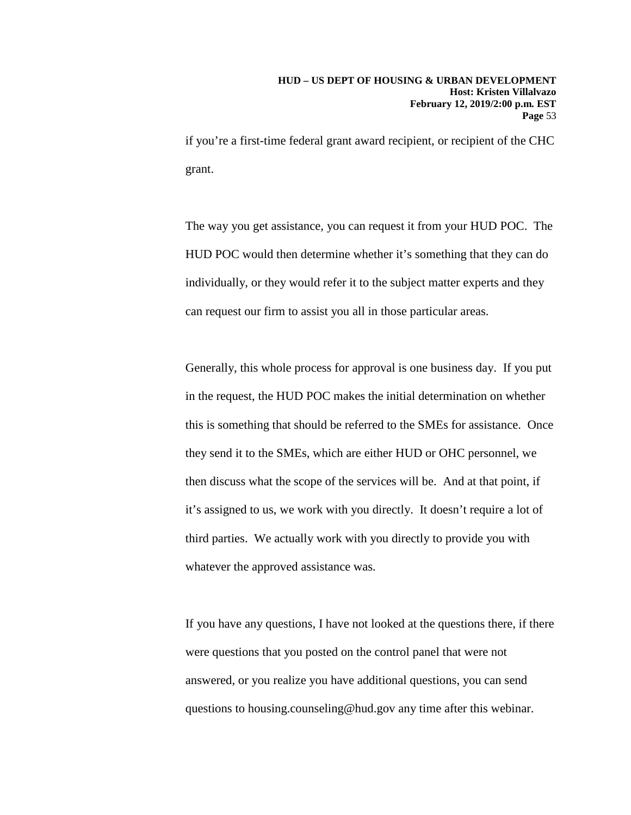if you're a first-time federal grant award recipient, or recipient of the CHC grant.

The way you get assistance, you can request it from your HUD POC. The HUD POC would then determine whether it's something that they can do individually, or they would refer it to the subject matter experts and they can request our firm to assist you all in those particular areas.

Generally, this whole process for approval is one business day. If you put in the request, the HUD POC makes the initial determination on whether this is something that should be referred to the SMEs for assistance. Once they send it to the SMEs, which are either HUD or OHC personnel, we then discuss what the scope of the services will be. And at that point, if it's assigned to us, we work with you directly. It doesn't require a lot of third parties. We actually work with you directly to provide you with whatever the approved assistance was.

If you have any questions, I have not looked at the questions there, if there were questions that you posted on the control panel that were not answered, or you realize you have additional questions, you can send questions to housing.counseling@hud.gov any time after this webinar.